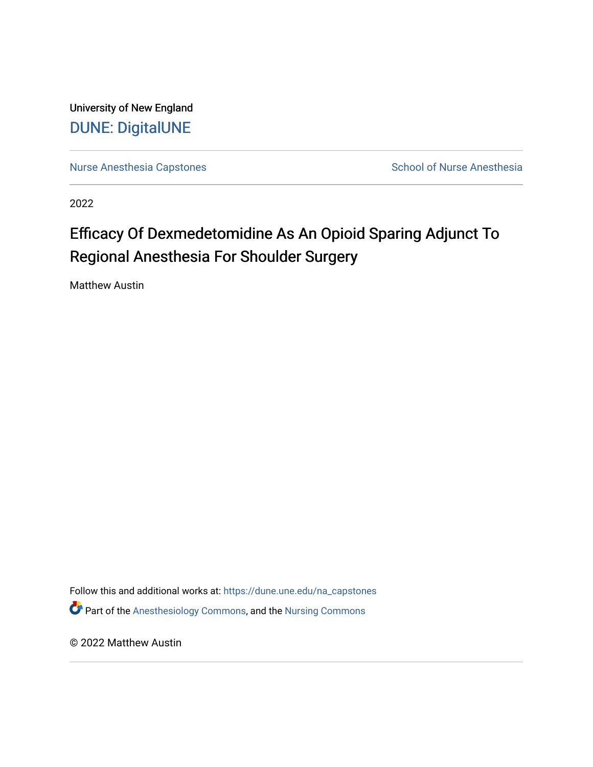University of New England [DUNE: DigitalUNE](https://dune.une.edu/) 

[Nurse Anesthesia Capstones](https://dune.une.edu/na_capstones) School of Nurse Anesthesia

2022

# Efficacy Of Dexmedetomidine As An Opioid Sparing Adjunct To Regional Anesthesia For Shoulder Surgery

Matthew Austin

Follow this and additional works at: [https://dune.une.edu/na\\_capstones](https://dune.une.edu/na_capstones?utm_source=dune.une.edu%2Fna_capstones%2F44&utm_medium=PDF&utm_campaign=PDFCoverPages) Part of the [Anesthesiology Commons](https://network.bepress.com/hgg/discipline/682?utm_source=dune.une.edu%2Fna_capstones%2F44&utm_medium=PDF&utm_campaign=PDFCoverPages), and the [Nursing Commons](https://network.bepress.com/hgg/discipline/718?utm_source=dune.une.edu%2Fna_capstones%2F44&utm_medium=PDF&utm_campaign=PDFCoverPages) 

© 2022 Matthew Austin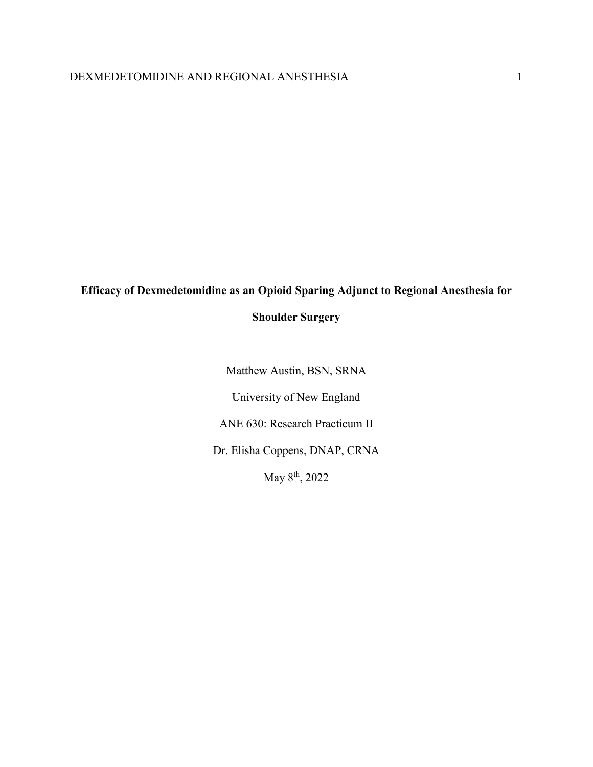# **Efficacy of Dexmedetomidine as an Opioid Sparing Adjunct to Regional Anesthesia for**

# **Shoulder Surgery**

Matthew Austin, BSN, SRNA University of New England ANE 630: Research Practicum II Dr. Elisha Coppens, DNAP, CRNA May 8th, 2022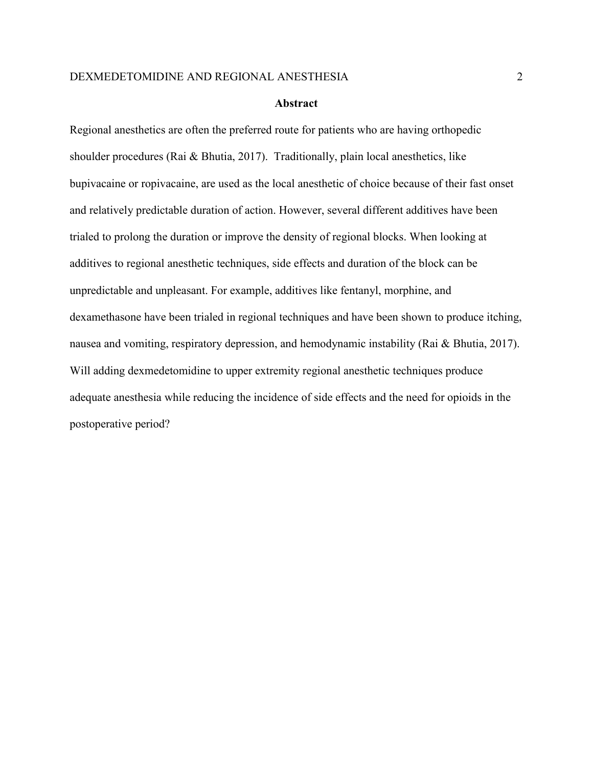#### **Abstract**

Regional anesthetics are often the preferred route for patients who are having orthopedic shoulder procedures (Rai & Bhutia, 2017). Traditionally, plain local anesthetics, like bupivacaine or ropivacaine, are used as the local anesthetic of choice because of their fast onset and relatively predictable duration of action. However, several different additives have been trialed to prolong the duration or improve the density of regional blocks. When looking at additives to regional anesthetic techniques, side effects and duration of the block can be unpredictable and unpleasant. For example, additives like fentanyl, morphine, and dexamethasone have been trialed in regional techniques and have been shown to produce itching, nausea and vomiting, respiratory depression, and hemodynamic instability (Rai & Bhutia, 2017). Will adding dexmedetomidine to upper extremity regional anesthetic techniques produce adequate anesthesia while reducing the incidence of side effects and the need for opioids in the postoperative period?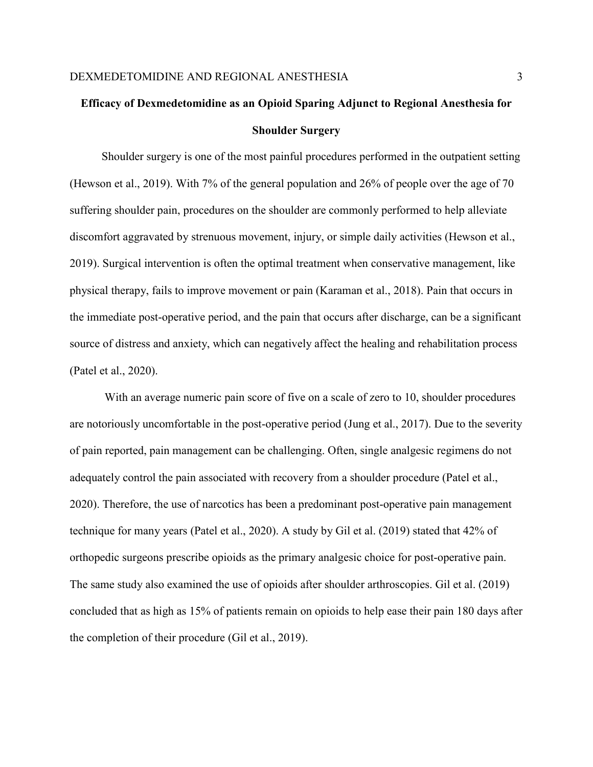# **Efficacy of Dexmedetomidine as an Opioid Sparing Adjunct to Regional Anesthesia for Shoulder Surgery**

 Shoulder surgery is one of the most painful procedures performed in the outpatient setting (Hewson et al., 2019). With 7% of the general population and 26% of people over the age of 70 suffering shoulder pain, procedures on the shoulder are commonly performed to help alleviate discomfort aggravated by strenuous movement, injury, or simple daily activities (Hewson et al., 2019). Surgical intervention is often the optimal treatment when conservative management, like physical therapy, fails to improve movement or pain (Karaman et al., 2018). Pain that occurs in the immediate post-operative period, and the pain that occurs after discharge, can be a significant source of distress and anxiety, which can negatively affect the healing and rehabilitation process (Patel et al., 2020).

With an average numeric pain score of five on a scale of zero to 10, shoulder procedures are notoriously uncomfortable in the post-operative period (Jung et al., 2017). Due to the severity of pain reported, pain management can be challenging. Often, single analgesic regimens do not adequately control the pain associated with recovery from a shoulder procedure (Patel et al., 2020). Therefore, the use of narcotics has been a predominant post-operative pain management technique for many years (Patel et al., 2020). A study by Gil et al. (2019) stated that 42% of orthopedic surgeons prescribe opioids as the primary analgesic choice for post-operative pain. The same study also examined the use of opioids after shoulder arthroscopies. Gil et al. (2019) concluded that as high as 15% of patients remain on opioids to help ease their pain 180 days after the completion of their procedure (Gil et al., 2019).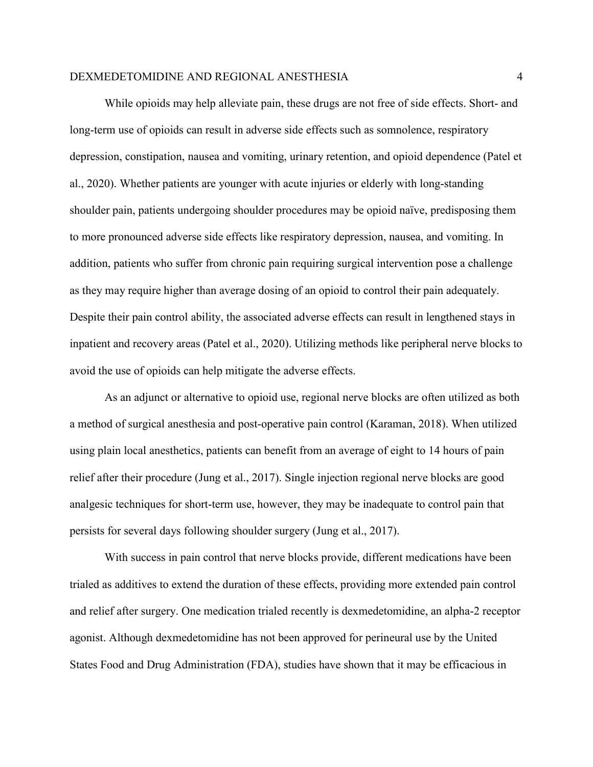While opioids may help alleviate pain, these drugs are not free of side effects. Short- and long-term use of opioids can result in adverse side effects such as somnolence, respiratory depression, constipation, nausea and vomiting, urinary retention, and opioid dependence (Patel et al., 2020). Whether patients are younger with acute injuries or elderly with long-standing shoulder pain, patients undergoing shoulder procedures may be opioid naïve, predisposing them to more pronounced adverse side effects like respiratory depression, nausea, and vomiting. In addition, patients who suffer from chronic pain requiring surgical intervention pose a challenge as they may require higher than average dosing of an opioid to control their pain adequately. Despite their pain control ability, the associated adverse effects can result in lengthened stays in inpatient and recovery areas (Patel et al., 2020). Utilizing methods like peripheral nerve blocks to avoid the use of opioids can help mitigate the adverse effects.

As an adjunct or alternative to opioid use, regional nerve blocks are often utilized as both a method of surgical anesthesia and post-operative pain control (Karaman, 2018). When utilized using plain local anesthetics, patients can benefit from an average of eight to 14 hours of pain relief after their procedure (Jung et al., 2017). Single injection regional nerve blocks are good analgesic techniques for short-term use, however, they may be inadequate to control pain that persists for several days following shoulder surgery (Jung et al., 2017).

With success in pain control that nerve blocks provide, different medications have been trialed as additives to extend the duration of these effects, providing more extended pain control and relief after surgery. One medication trialed recently is dexmedetomidine, an alpha-2 receptor agonist. Although dexmedetomidine has not been approved for perineural use by the United States Food and Drug Administration (FDA), studies have shown that it may be efficacious in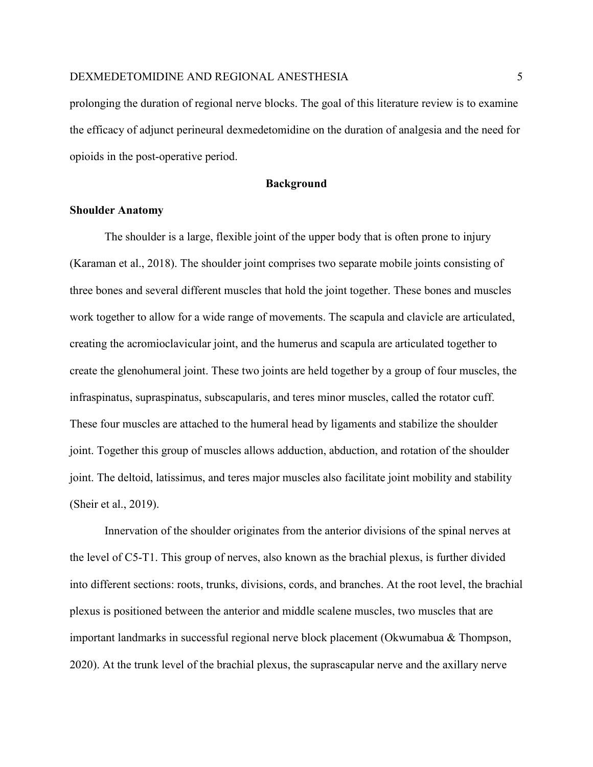prolonging the duration of regional nerve blocks. The goal of this literature review is to examine the efficacy of adjunct perineural dexmedetomidine on the duration of analgesia and the need for opioids in the post-operative period.

**Background**

# **Shoulder Anatomy**

The shoulder is a large, flexible joint of the upper body that is often prone to injury (Karaman et al., 2018). The shoulder joint comprises two separate mobile joints consisting of three bones and several different muscles that hold the joint together. These bones and muscles work together to allow for a wide range of movements. The scapula and clavicle are articulated, creating the acromioclavicular joint, and the humerus and scapula are articulated together to create the glenohumeral joint. These two joints are held together by a group of four muscles, the infraspinatus, supraspinatus, subscapularis, and teres minor muscles, called the rotator cuff. These four muscles are attached to the humeral head by ligaments and stabilize the shoulder joint. Together this group of muscles allows adduction, abduction, and rotation of the shoulder joint. The deltoid, latissimus, and teres major muscles also facilitate joint mobility and stability (Sheir et al., 2019).

Innervation of the shoulder originates from the anterior divisions of the spinal nerves at the level of C5-T1. This group of nerves, also known as the brachial plexus, is further divided into different sections: roots, trunks, divisions, cords, and branches. At the root level, the brachial plexus is positioned between the anterior and middle scalene muscles, two muscles that are important landmarks in successful regional nerve block placement (Okwumabua & Thompson, 2020). At the trunk level of the brachial plexus, the suprascapular nerve and the axillary nerve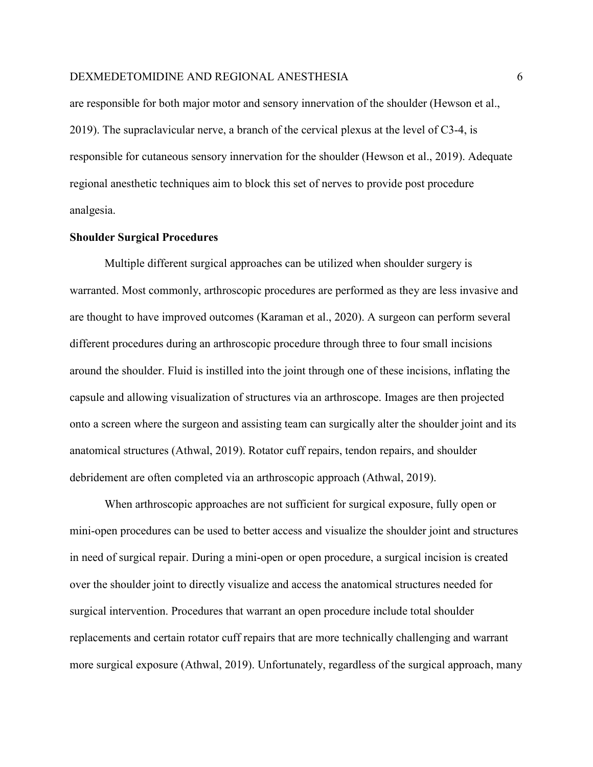are responsible for both major motor and sensory innervation of the shoulder (Hewson et al., 2019). The supraclavicular nerve, a branch of the cervical plexus at the level of C3-4, is responsible for cutaneous sensory innervation for the shoulder (Hewson et al., 2019). Adequate regional anesthetic techniques aim to block this set of nerves to provide post procedure analgesia.

# **Shoulder Surgical Procedures**

Multiple different surgical approaches can be utilized when shoulder surgery is warranted. Most commonly, arthroscopic procedures are performed as they are less invasive and are thought to have improved outcomes (Karaman et al., 2020). A surgeon can perform several different procedures during an arthroscopic procedure through three to four small incisions around the shoulder. Fluid is instilled into the joint through one of these incisions, inflating the capsule and allowing visualization of structures via an arthroscope. Images are then projected onto a screen where the surgeon and assisting team can surgically alter the shoulder joint and its anatomical structures (Athwal, 2019). Rotator cuff repairs, tendon repairs, and shoulder debridement are often completed via an arthroscopic approach (Athwal, 2019).

When arthroscopic approaches are not sufficient for surgical exposure, fully open or mini-open procedures can be used to better access and visualize the shoulder joint and structures in need of surgical repair. During a mini-open or open procedure, a surgical incision is created over the shoulder joint to directly visualize and access the anatomical structures needed for surgical intervention. Procedures that warrant an open procedure include total shoulder replacements and certain rotator cuff repairs that are more technically challenging and warrant more surgical exposure (Athwal, 2019). Unfortunately, regardless of the surgical approach, many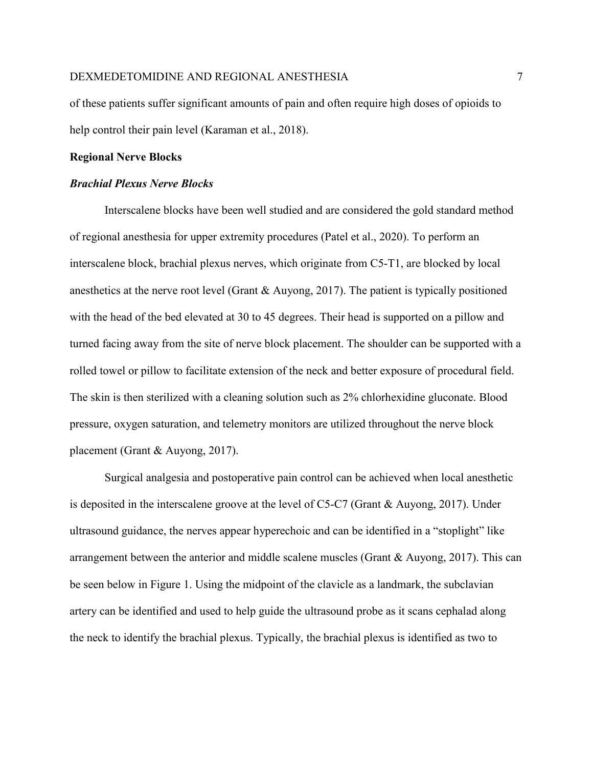of these patients suffer significant amounts of pain and often require high doses of opioids to help control their pain level (Karaman et al., 2018).

## **Regional Nerve Blocks**

# *Brachial Plexus Nerve Blocks*

Interscalene blocks have been well studied and are considered the gold standard method of regional anesthesia for upper extremity procedures (Patel et al., 2020). To perform an interscalene block, brachial plexus nerves, which originate from C5-T1, are blocked by local anesthetics at the nerve root level (Grant  $\&$  Auyong, 2017). The patient is typically positioned with the head of the bed elevated at 30 to 45 degrees. Their head is supported on a pillow and turned facing away from the site of nerve block placement. The shoulder can be supported with a rolled towel or pillow to facilitate extension of the neck and better exposure of procedural field. The skin is then sterilized with a cleaning solution such as 2% chlorhexidine gluconate. Blood pressure, oxygen saturation, and telemetry monitors are utilized throughout the nerve block placement (Grant & Auyong, 2017).

Surgical analgesia and postoperative pain control can be achieved when local anesthetic is deposited in the interscalene groove at the level of C5-C7 (Grant & Auyong, 2017). Under ultrasound guidance, the nerves appear hyperechoic and can be identified in a "stoplight" like arrangement between the anterior and middle scalene muscles (Grant & Auyong, 2017). This can be seen below in Figure 1. Using the midpoint of the clavicle as a landmark, the subclavian artery can be identified and used to help guide the ultrasound probe as it scans cephalad along the neck to identify the brachial plexus. Typically, the brachial plexus is identified as two to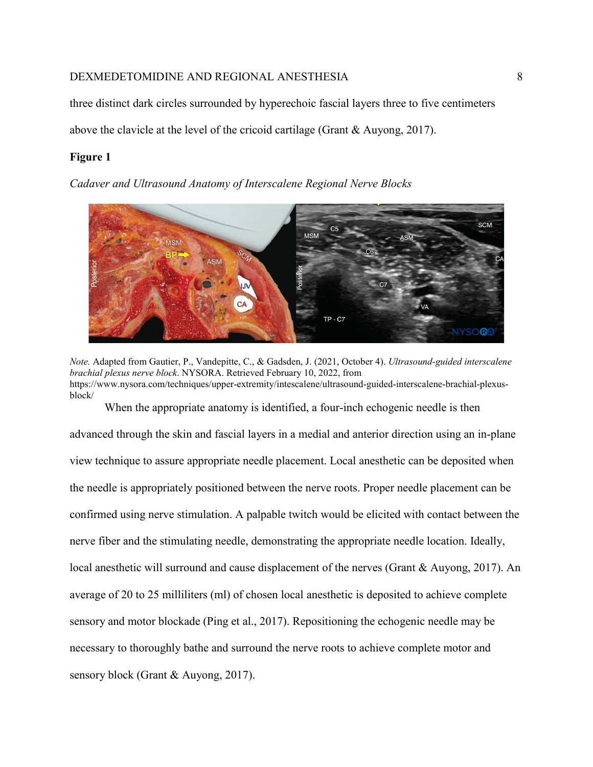three distinct dark circles surrounded by hyperechoic fascial layers three to five centimeters

above the clavicle at the level of the cricoid cartilage (Grant & Auyong, 2017).

# **Figure 1**

*Cadaver and Ultrasound Anatomy of Interscalene Regional Nerve Blocks*



*Note.* Adapted from Gautier, P., Vandepitte, C., & Gadsden, J. (2021, October 4). *Ultrasound-guided interscalene brachial plexus nerve block*. NYSORA. Retrieved February 10, 2022, from https://www.nysora.com/techniques/upper-extremity/intescalene/ultrasound-guided-interscalene-brachial-plexusblock/

When the appropriate anatomy is identified, a four-inch echogenic needle is then

advanced through the skin and fascial layers in a medial and anterior direction using an in-plane view technique to assure appropriate needle placement. Local anesthetic can be deposited when the needle is appropriately positioned between the nerve roots. Proper needle placement can be confirmed using nerve stimulation. A palpable twitch would be elicited with contact between the nerve fiber and the stimulating needle, demonstrating the appropriate needle location. Ideally, local anesthetic will surround and cause displacement of the nerves (Grant & Auyong, 2017). An average of 20 to 25 milliliters (ml) of chosen local anesthetic is deposited to achieve complete sensory and motor blockade (Ping et al., 2017). Repositioning the echogenic needle may be necessary to thoroughly bathe and surround the nerve roots to achieve complete motor and sensory block (Grant & Auyong, 2017).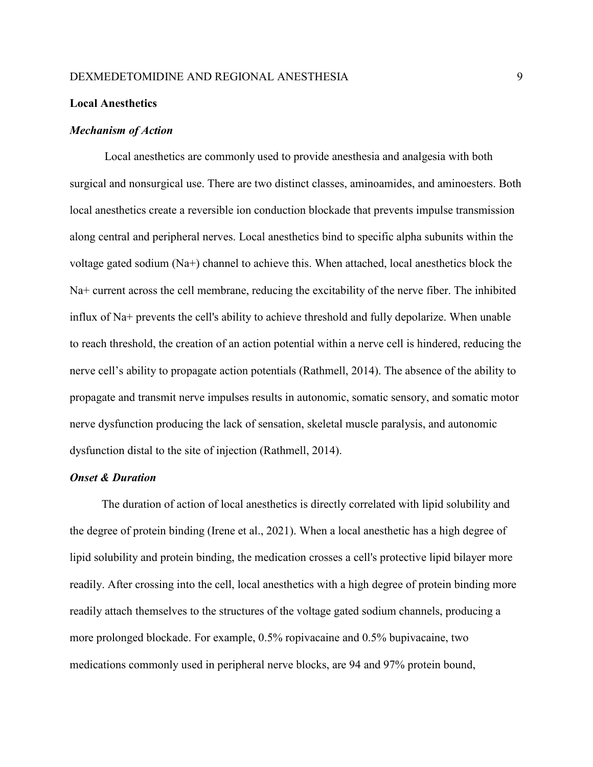## **Local Anesthetics**

#### *Mechanism of Action*

Local anesthetics are commonly used to provide anesthesia and analgesia with both surgical and nonsurgical use. There are two distinct classes, aminoamides, and aminoesters. Both local anesthetics create a reversible ion conduction blockade that prevents impulse transmission along central and peripheral nerves. Local anesthetics bind to specific alpha subunits within the voltage gated sodium (Na+) channel to achieve this. When attached, local anesthetics block the Na+ current across the cell membrane, reducing the excitability of the nerve fiber. The inhibited influx of Na+ prevents the cell's ability to achieve threshold and fully depolarize. When unable to reach threshold, the creation of an action potential within a nerve cell is hindered, reducing the nerve cell's ability to propagate action potentials (Rathmell, 2014). The absence of the ability to propagate and transmit nerve impulses results in autonomic, somatic sensory, and somatic motor nerve dysfunction producing the lack of sensation, skeletal muscle paralysis, and autonomic dysfunction distal to the site of injection (Rathmell, 2014).

# *Onset & Duration*

The duration of action of local anesthetics is directly correlated with lipid solubility and the degree of protein binding (Irene et al., 2021). When a local anesthetic has a high degree of lipid solubility and protein binding, the medication crosses a cell's protective lipid bilayer more readily. After crossing into the cell, local anesthetics with a high degree of protein binding more readily attach themselves to the structures of the voltage gated sodium channels, producing a more prolonged blockade. For example, 0.5% ropivacaine and 0.5% bupivacaine, two medications commonly used in peripheral nerve blocks, are 94 and 97% protein bound,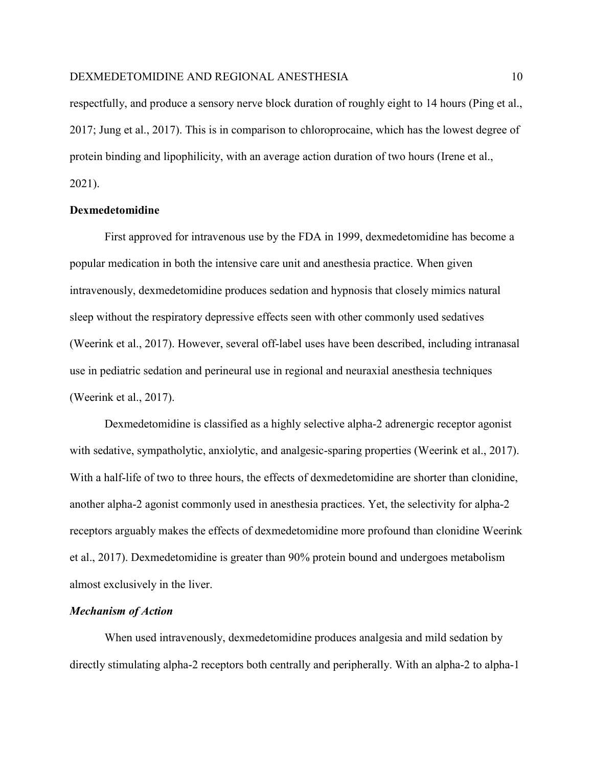respectfully, and produce a sensory nerve block duration of roughly eight to 14 hours (Ping et al., 2017; Jung et al., 2017). This is in comparison to chloroprocaine, which has the lowest degree of protein binding and lipophilicity, with an average action duration of two hours (Irene et al., 2021).

# **Dexmedetomidine**

First approved for intravenous use by the FDA in 1999, dexmedetomidine has become a popular medication in both the intensive care unit and anesthesia practice. When given intravenously, dexmedetomidine produces sedation and hypnosis that closely mimics natural sleep without the respiratory depressive effects seen with other commonly used sedatives (Weerink et al., 2017). However, several off-label uses have been described, including intranasal use in pediatric sedation and perineural use in regional and neuraxial anesthesia techniques (Weerink et al., 2017).

Dexmedetomidine is classified as a highly selective alpha-2 adrenergic receptor agonist with sedative, sympatholytic, anxiolytic, and analgesic-sparing properties (Weerink et al., 2017). With a half-life of two to three hours, the effects of dexmedetomidine are shorter than clonidine, another alpha-2 agonist commonly used in anesthesia practices. Yet, the selectivity for alpha-2 receptors arguably makes the effects of dexmedetomidine more profound than clonidine Weerink et al., 2017). Dexmedetomidine is greater than 90% protein bound and undergoes metabolism almost exclusively in the liver.

#### *Mechanism of Action*

When used intravenously, dexmedetomidine produces analgesia and mild sedation by directly stimulating alpha-2 receptors both centrally and peripherally. With an alpha-2 to alpha-1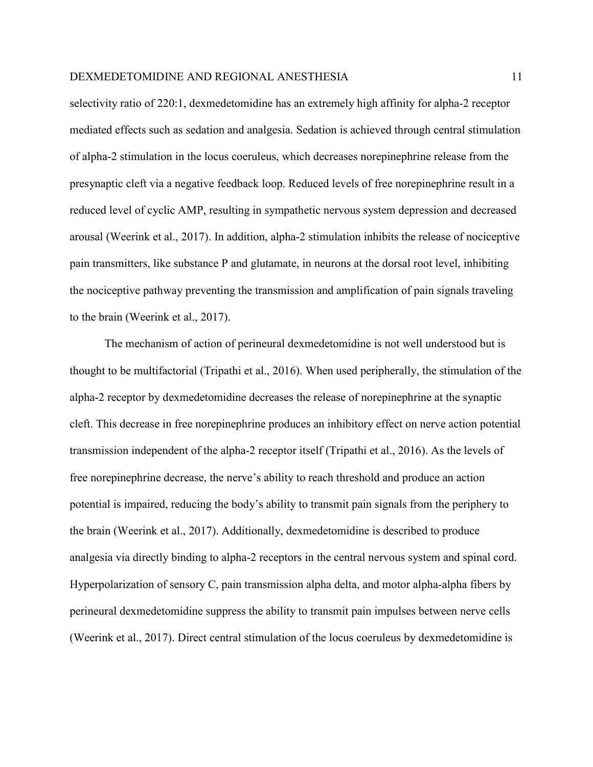selectivity ratio of 220:1, dexmedetomidine has an extremely high affinity for alpha-2 receptor mediated effects such as sedation and analgesia. Sedation is achieved through central stimulation of alpha-2 stimulation in the locus coeruleus, which decreases norepinephrine release from the presynaptic cleft via a negative feedback loop. Reduced levels of free norepinephrine result in a reduced level of cyclic AMP, resulting in sympathetic nervous system depression and decreased arousal (Weerink et al., 2017). In addition, alpha-2 stimulation inhibits the release of nociceptive pain transmitters, like substance P and glutamate, in neurons at the dorsal root level, inhibiting the nociceptive pathway preventing the transmission and amplification of pain signals traveling to the brain (Weerink et al., 2017).

The mechanism of action of perineural dexmedetomidine is not well understood but is thought to be multifactorial (Tripathi et al., 2016). When used peripherally, the stimulation of the alpha-2 receptor by dexmedetomidine decreases the release of norepinephrine at the synaptic cleft. This decrease in free norepinephrine produces an inhibitory effect on nerve action potential transmission independent of the alpha-2 receptor itself (Tripathi et al., 2016). As the levels of free norepinephrine decrease, the nerve's ability to reach threshold and produce an action potential is impaired, reducing the body's ability to transmit pain signals from the periphery to the brain (Weerink et al., 2017). Additionally, dexmedetomidine is described to produce analgesia via directly binding to alpha-2 receptors in the central nervous system and spinal cord. Hyperpolarization of sensory C, pain transmission alpha delta, and motor alpha-alpha fibers by perineural dexmedetomidine suppress the ability to transmit pain impulses between nerve cells (Weerink et al., 2017). Direct central stimulation of the locus coeruleus by dexmedetomidine is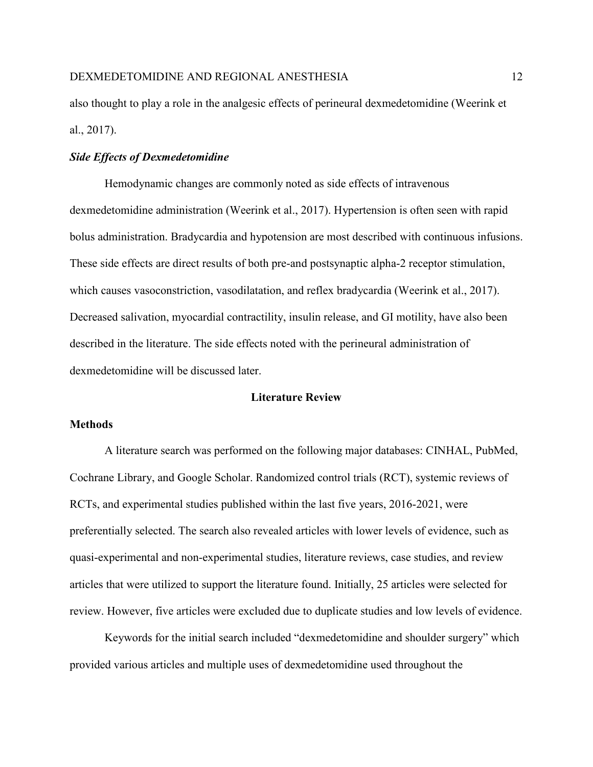also thought to play a role in the analgesic effects of perineural dexmedetomidine (Weerink et al., 2017).

# *Side Effects of Dexmedetomidine*

Hemodynamic changes are commonly noted as side effects of intravenous dexmedetomidine administration (Weerink et al., 2017). Hypertension is often seen with rapid bolus administration. Bradycardia and hypotension are most described with continuous infusions. These side effects are direct results of both pre-and postsynaptic alpha-2 receptor stimulation, which causes vasoconstriction, vasodilatation, and reflex bradycardia (Weerink et al., 2017). Decreased salivation, myocardial contractility, insulin release, and GI motility, have also been described in the literature. The side effects noted with the perineural administration of dexmedetomidine will be discussed later.

# **Literature Review**

# **Methods**

A literature search was performed on the following major databases: CINHAL, PubMed, Cochrane Library, and Google Scholar. Randomized control trials (RCT), systemic reviews of RCTs, and experimental studies published within the last five years, 2016-2021, were preferentially selected. The search also revealed articles with lower levels of evidence, such as quasi-experimental and non-experimental studies, literature reviews, case studies, and review articles that were utilized to support the literature found. Initially, 25 articles were selected for review. However, five articles were excluded due to duplicate studies and low levels of evidence.

Keywords for the initial search included "dexmedetomidine and shoulder surgery" which provided various articles and multiple uses of dexmedetomidine used throughout the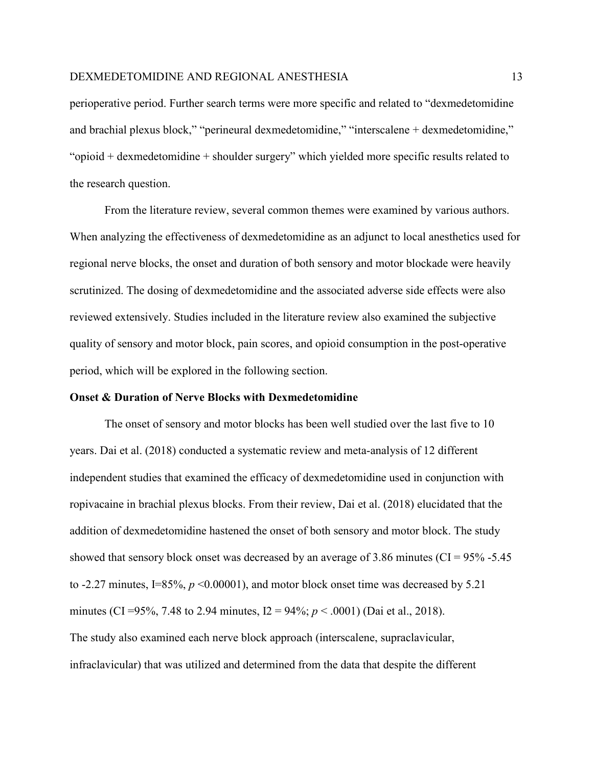perioperative period. Further search terms were more specific and related to "dexmedetomidine and brachial plexus block," "perineural dexmedetomidine," "interscalene + dexmedetomidine," "opioid + dexmedetomidine + shoulder surgery" which yielded more specific results related to the research question.

From the literature review, several common themes were examined by various authors. When analyzing the effectiveness of dexmedetomidine as an adjunct to local anesthetics used for regional nerve blocks, the onset and duration of both sensory and motor blockade were heavily scrutinized. The dosing of dexmedetomidine and the associated adverse side effects were also reviewed extensively. Studies included in the literature review also examined the subjective quality of sensory and motor block, pain scores, and opioid consumption in the post-operative period, which will be explored in the following section.

# **Onset & Duration of Nerve Blocks with Dexmedetomidine**

The onset of sensory and motor blocks has been well studied over the last five to 10 years. Dai et al. (2018) conducted a systematic review and meta-analysis of 12 different independent studies that examined the efficacy of dexmedetomidine used in conjunction with ropivacaine in brachial plexus blocks. From their review, Dai et al. (2018) elucidated that the addition of dexmedetomidine hastened the onset of both sensory and motor block. The study showed that sensory block onset was decreased by an average of 3.86 minutes (CI =  $95\%$  -5.45 to  $-2.27$  minutes, I=85%,  $p \le 0.00001$ ), and motor block onset time was decreased by 5.21 minutes (CI =95%, 7.48 to 2.94 minutes, I2 = 94%; *p* < .0001) (Dai et al., 2018). The study also examined each nerve block approach (interscalene, supraclavicular, infraclavicular) that was utilized and determined from the data that despite the different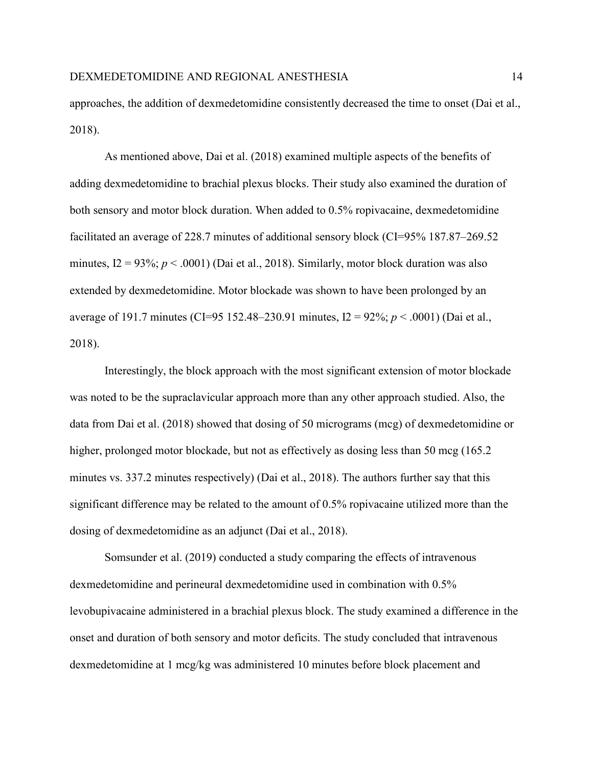approaches, the addition of dexmedetomidine consistently decreased the time to onset (Dai et al., 2018).

As mentioned above, Dai et al. (2018) examined multiple aspects of the benefits of adding dexmedetomidine to brachial plexus blocks. Their study also examined the duration of both sensory and motor block duration. When added to 0.5% ropivacaine, dexmedetomidine facilitated an average of 228.7 minutes of additional sensory block (CI=95% 187.87–269.52 minutes,  $I2 = 93\%$ ;  $p < .0001$ ) (Dai et al., 2018). Similarly, motor block duration was also extended by dexmedetomidine. Motor blockade was shown to have been prolonged by an average of 191.7 minutes (CI=95 152.48–230.91 minutes, I2 = 92%; *p* < .0001) (Dai et al., 2018).

Interestingly, the block approach with the most significant extension of motor blockade was noted to be the supraclavicular approach more than any other approach studied. Also, the data from Dai et al. (2018) showed that dosing of 50 micrograms (mcg) of dexmedetomidine or higher, prolonged motor blockade, but not as effectively as dosing less than 50 mcg (165.2) minutes vs. 337.2 minutes respectively) (Dai et al., 2018). The authors further say that this significant difference may be related to the amount of 0.5% ropivacaine utilized more than the dosing of dexmedetomidine as an adjunct (Dai et al., 2018).

Somsunder et al. (2019) conducted a study comparing the effects of intravenous dexmedetomidine and perineural dexmedetomidine used in combination with 0.5% levobupivacaine administered in a brachial plexus block. The study examined a difference in the onset and duration of both sensory and motor deficits. The study concluded that intravenous dexmedetomidine at 1 mcg/kg was administered 10 minutes before block placement and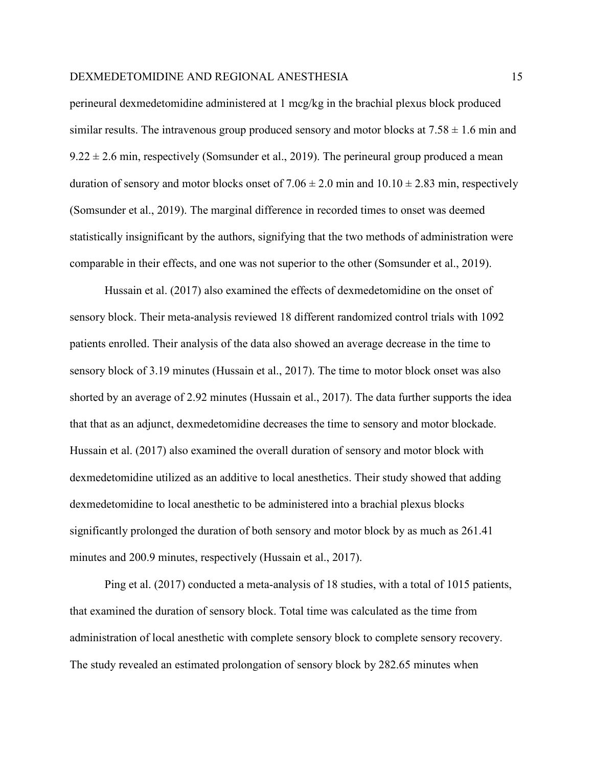perineural dexmedetomidine administered at 1 mcg/kg in the brachial plexus block produced similar results. The intravenous group produced sensory and motor blocks at  $7.58 \pm 1.6$  min and  $9.22 \pm 2.6$  min, respectively (Somsunder et al., 2019). The perineural group produced a mean duration of sensory and motor blocks onset of  $7.06 \pm 2.0$  min and  $10.10 \pm 2.83$  min, respectively (Somsunder et al., 2019). The marginal difference in recorded times to onset was deemed statistically insignificant by the authors, signifying that the two methods of administration were comparable in their effects, and one was not superior to the other (Somsunder et al., 2019).

Hussain et al. (2017) also examined the effects of dexmedetomidine on the onset of sensory block. Their meta-analysis reviewed 18 different randomized control trials with 1092 patients enrolled. Their analysis of the data also showed an average decrease in the time to sensory block of 3.19 minutes (Hussain et al., 2017). The time to motor block onset was also shorted by an average of 2.92 minutes (Hussain et al., 2017). The data further supports the idea that that as an adjunct, dexmedetomidine decreases the time to sensory and motor blockade. Hussain et al. (2017) also examined the overall duration of sensory and motor block with dexmedetomidine utilized as an additive to local anesthetics. Their study showed that adding dexmedetomidine to local anesthetic to be administered into a brachial plexus blocks significantly prolonged the duration of both sensory and motor block by as much as 261.41 minutes and 200.9 minutes, respectively (Hussain et al., 2017).

Ping et al. (2017) conducted a meta-analysis of 18 studies, with a total of 1015 patients, that examined the duration of sensory block. Total time was calculated as the time from administration of local anesthetic with complete sensory block to complete sensory recovery. The study revealed an estimated prolongation of sensory block by 282.65 minutes when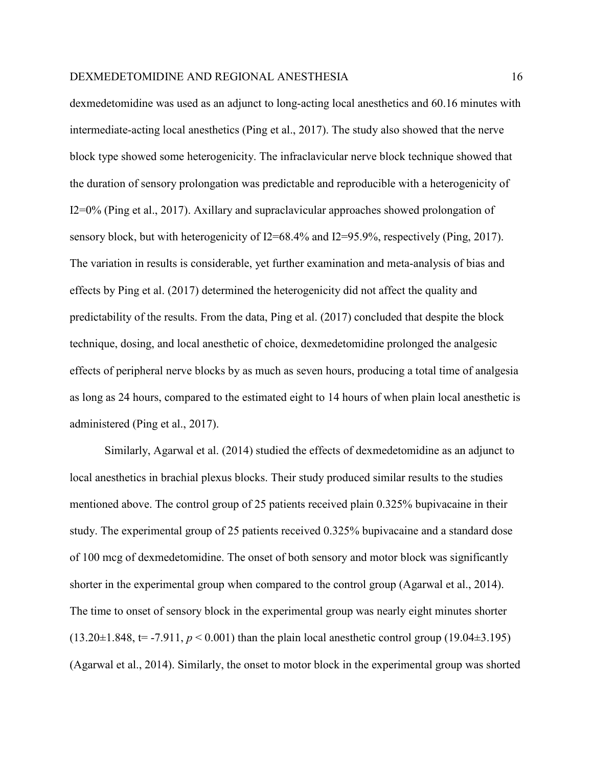dexmedetomidine was used as an adjunct to long-acting local anesthetics and 60.16 minutes with intermediate-acting local anesthetics (Ping et al., 2017). The study also showed that the nerve block type showed some heterogenicity. The infraclavicular nerve block technique showed that the duration of sensory prolongation was predictable and reproducible with a heterogenicity of I2=0% (Ping et al., 2017). Axillary and supraclavicular approaches showed prolongation of sensory block, but with heterogenicity of I2=68.4% and I2=95.9%, respectively (Ping, 2017). The variation in results is considerable, yet further examination and meta-analysis of bias and effects by Ping et al. (2017) determined the heterogenicity did not affect the quality and predictability of the results. From the data, Ping et al. (2017) concluded that despite the block technique, dosing, and local anesthetic of choice, dexmedetomidine prolonged the analgesic effects of peripheral nerve blocks by as much as seven hours, producing a total time of analgesia as long as 24 hours, compared to the estimated eight to 14 hours of when plain local anesthetic is administered (Ping et al., 2017).

Similarly, Agarwal et al. (2014) studied the effects of dexmedetomidine as an adjunct to local anesthetics in brachial plexus blocks. Their study produced similar results to the studies mentioned above. The control group of 25 patients received plain 0.325% bupivacaine in their study. The experimental group of 25 patients received 0.325% bupivacaine and a standard dose of 100 mcg of dexmedetomidine. The onset of both sensory and motor block was significantly shorter in the experimental group when compared to the control group (Agarwal et al., 2014). The time to onset of sensory block in the experimental group was nearly eight minutes shorter  $(13.20\pm1.848, t= -7.911, p < 0.001)$  than the plain local anesthetic control group  $(19.04\pm3.195)$ (Agarwal et al., 2014). Similarly, the onset to motor block in the experimental group was shorted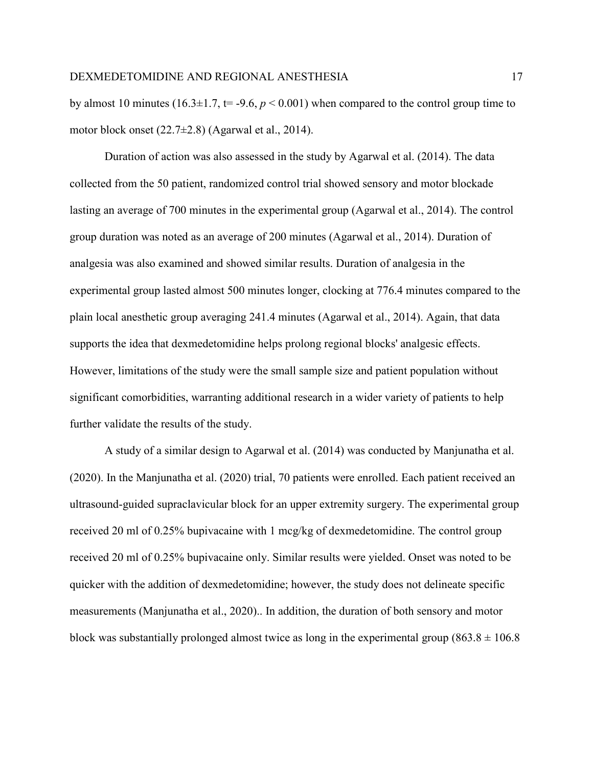by almost 10 minutes (16.3 $\pm$ 1.7, t= -9.6,  $p < 0.001$ ) when compared to the control group time to motor block onset (22.7±2.8) (Agarwal et al., 2014).

Duration of action was also assessed in the study by Agarwal et al. (2014). The data collected from the 50 patient, randomized control trial showed sensory and motor blockade lasting an average of 700 minutes in the experimental group (Agarwal et al., 2014). The control group duration was noted as an average of 200 minutes (Agarwal et al., 2014). Duration of analgesia was also examined and showed similar results. Duration of analgesia in the experimental group lasted almost 500 minutes longer, clocking at 776.4 minutes compared to the plain local anesthetic group averaging 241.4 minutes (Agarwal et al., 2014). Again, that data supports the idea that dexmedetomidine helps prolong regional blocks' analgesic effects. However, limitations of the study were the small sample size and patient population without significant comorbidities, warranting additional research in a wider variety of patients to help further validate the results of the study.

A study of a similar design to Agarwal et al. (2014) was conducted by Manjunatha et al. (2020). In the Manjunatha et al. (2020) trial, 70 patients were enrolled. Each patient received an ultrasound-guided supraclavicular block for an upper extremity surgery. The experimental group received 20 ml of 0.25% bupivacaine with 1 mcg/kg of dexmedetomidine. The control group received 20 ml of 0.25% bupivacaine only. Similar results were yielded. Onset was noted to be quicker with the addition of dexmedetomidine; however, the study does not delineate specific measurements (Manjunatha et al., 2020).. In addition, the duration of both sensory and motor block was substantially prolonged almost twice as long in the experimental group (863.8  $\pm$  106.8)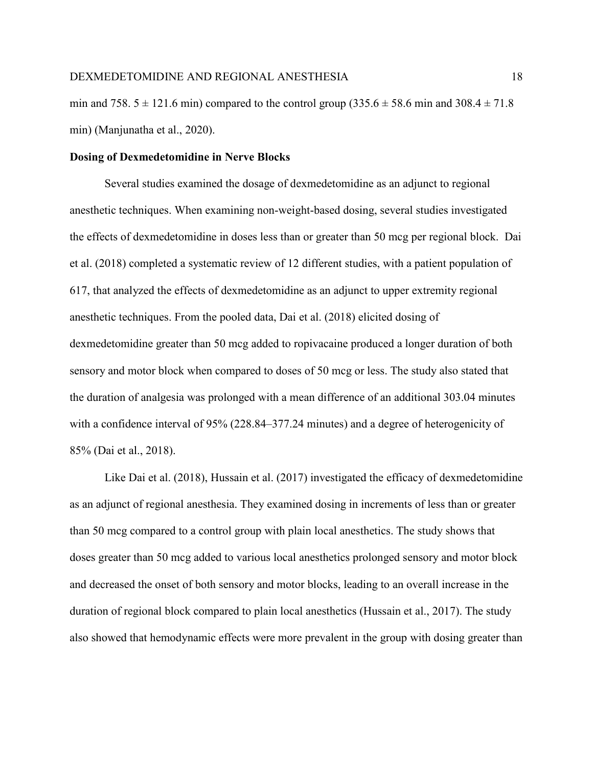min and 758.  $5 \pm 121.6$  min) compared to the control group (335.6  $\pm$  58.6 min and 308.4  $\pm$  71.8 min) (Manjunatha et al., 2020).

## **Dosing of Dexmedetomidine in Nerve Blocks**

Several studies examined the dosage of dexmedetomidine as an adjunct to regional anesthetic techniques. When examining non-weight-based dosing, several studies investigated the effects of dexmedetomidine in doses less than or greater than 50 mcg per regional block. Dai et al. (2018) completed a systematic review of 12 different studies, with a patient population of 617, that analyzed the effects of dexmedetomidine as an adjunct to upper extremity regional anesthetic techniques. From the pooled data, Dai et al. (2018) elicited dosing of dexmedetomidine greater than 50 mcg added to ropivacaine produced a longer duration of both sensory and motor block when compared to doses of 50 mcg or less. The study also stated that the duration of analgesia was prolonged with a mean difference of an additional 303.04 minutes with a confidence interval of 95% (228.84–377.24 minutes) and a degree of heterogenicity of 85% (Dai et al., 2018).

Like Dai et al. (2018), Hussain et al. (2017) investigated the efficacy of dexmedetomidine as an adjunct of regional anesthesia. They examined dosing in increments of less than or greater than 50 mcg compared to a control group with plain local anesthetics. The study shows that doses greater than 50 mcg added to various local anesthetics prolonged sensory and motor block and decreased the onset of both sensory and motor blocks, leading to an overall increase in the duration of regional block compared to plain local anesthetics (Hussain et al., 2017). The study also showed that hemodynamic effects were more prevalent in the group with dosing greater than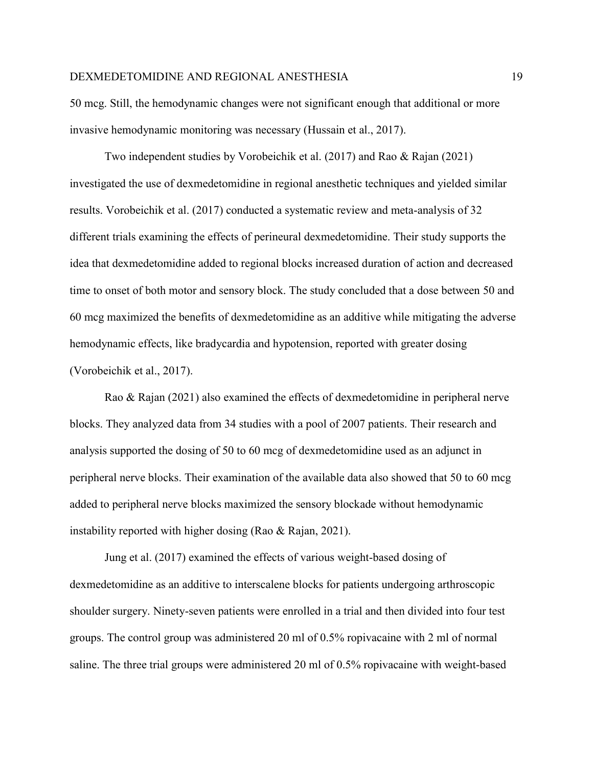50 mcg. Still, the hemodynamic changes were not significant enough that additional or more invasive hemodynamic monitoring was necessary (Hussain et al., 2017).

Two independent studies by Vorobeichik et al. (2017) and Rao & Rajan (2021) investigated the use of dexmedetomidine in regional anesthetic techniques and yielded similar results. Vorobeichik et al. (2017) conducted a systematic review and meta-analysis of 32 different trials examining the effects of perineural dexmedetomidine. Their study supports the idea that dexmedetomidine added to regional blocks increased duration of action and decreased time to onset of both motor and sensory block. The study concluded that a dose between 50 and 60 mcg maximized the benefits of dexmedetomidine as an additive while mitigating the adverse hemodynamic effects, like bradycardia and hypotension, reported with greater dosing (Vorobeichik et al., 2017).

Rao & Rajan (2021) also examined the effects of dexmedetomidine in peripheral nerve blocks. They analyzed data from 34 studies with a pool of 2007 patients. Their research and analysis supported the dosing of 50 to 60 mcg of dexmedetomidine used as an adjunct in peripheral nerve blocks. Their examination of the available data also showed that 50 to 60 mcg added to peripheral nerve blocks maximized the sensory blockade without hemodynamic instability reported with higher dosing (Rao & Rajan, 2021).

Jung et al. (2017) examined the effects of various weight-based dosing of dexmedetomidine as an additive to interscalene blocks for patients undergoing arthroscopic shoulder surgery. Ninety-seven patients were enrolled in a trial and then divided into four test groups. The control group was administered 20 ml of 0.5% ropivacaine with 2 ml of normal saline. The three trial groups were administered 20 ml of 0.5% ropivacaine with weight-based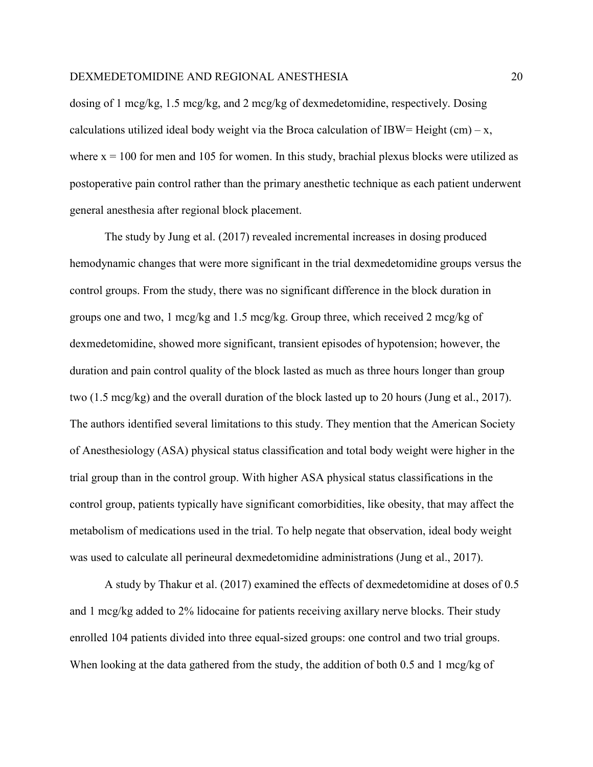dosing of 1 mcg/kg, 1.5 mcg/kg, and 2 mcg/kg of dexmedetomidine, respectively. Dosing calculations utilized ideal body weight via the Broca calculation of IBW= Height (cm) – x, where  $x = 100$  for men and 105 for women. In this study, brachial plexus blocks were utilized as postoperative pain control rather than the primary anesthetic technique as each patient underwent general anesthesia after regional block placement.

The study by Jung et al. (2017) revealed incremental increases in dosing produced hemodynamic changes that were more significant in the trial dexmedetomidine groups versus the control groups. From the study, there was no significant difference in the block duration in groups one and two, 1 mcg/kg and 1.5 mcg/kg. Group three, which received 2 mcg/kg of dexmedetomidine, showed more significant, transient episodes of hypotension; however, the duration and pain control quality of the block lasted as much as three hours longer than group two (1.5 mcg/kg) and the overall duration of the block lasted up to 20 hours (Jung et al., 2017). The authors identified several limitations to this study. They mention that the American Society of Anesthesiology (ASA) physical status classification and total body weight were higher in the trial group than in the control group. With higher ASA physical status classifications in the control group, patients typically have significant comorbidities, like obesity, that may affect the metabolism of medications used in the trial. To help negate that observation, ideal body weight was used to calculate all perineural dexmedetomidine administrations (Jung et al., 2017).

A study by Thakur et al. (2017) examined the effects of dexmedetomidine at doses of 0.5 and 1 mcg/kg added to 2% lidocaine for patients receiving axillary nerve blocks. Their study enrolled 104 patients divided into three equal-sized groups: one control and two trial groups. When looking at the data gathered from the study, the addition of both 0.5 and 1 mcg/kg of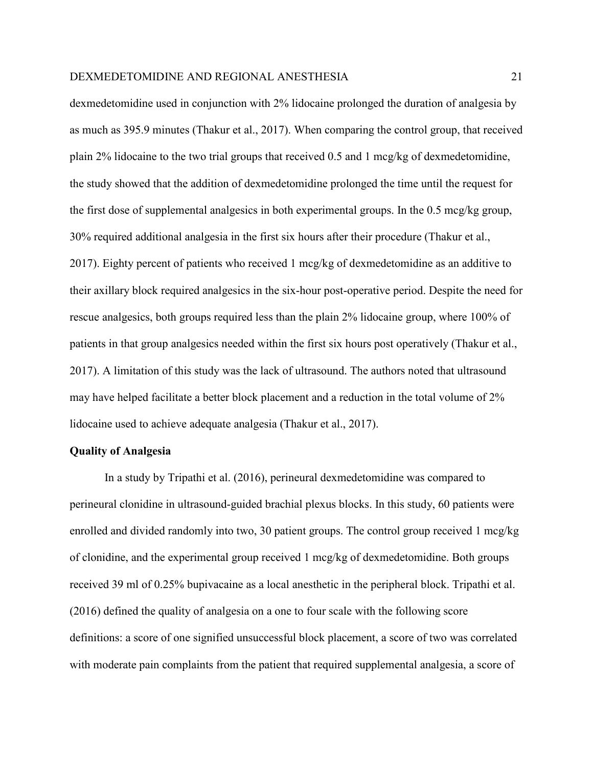dexmedetomidine used in conjunction with 2% lidocaine prolonged the duration of analgesia by as much as 395.9 minutes (Thakur et al., 2017). When comparing the control group, that received plain 2% lidocaine to the two trial groups that received 0.5 and 1 mcg/kg of dexmedetomidine, the study showed that the addition of dexmedetomidine prolonged the time until the request for the first dose of supplemental analgesics in both experimental groups. In the 0.5 mcg/kg group, 30% required additional analgesia in the first six hours after their procedure (Thakur et al., 2017). Eighty percent of patients who received 1 mcg/kg of dexmedetomidine as an additive to their axillary block required analgesics in the six-hour post-operative period. Despite the need for rescue analgesics, both groups required less than the plain 2% lidocaine group, where 100% of patients in that group analgesics needed within the first six hours post operatively (Thakur et al., 2017). A limitation of this study was the lack of ultrasound. The authors noted that ultrasound may have helped facilitate a better block placement and a reduction in the total volume of 2% lidocaine used to achieve adequate analgesia (Thakur et al., 2017).

## **Quality of Analgesia**

In a study by Tripathi et al. (2016), perineural dexmedetomidine was compared to perineural clonidine in ultrasound-guided brachial plexus blocks. In this study, 60 patients were enrolled and divided randomly into two, 30 patient groups. The control group received 1 mcg/kg of clonidine, and the experimental group received 1 mcg/kg of dexmedetomidine. Both groups received 39 ml of 0.25% bupivacaine as a local anesthetic in the peripheral block. Tripathi et al. (2016) defined the quality of analgesia on a one to four scale with the following score definitions: a score of one signified unsuccessful block placement, a score of two was correlated with moderate pain complaints from the patient that required supplemental analgesia, a score of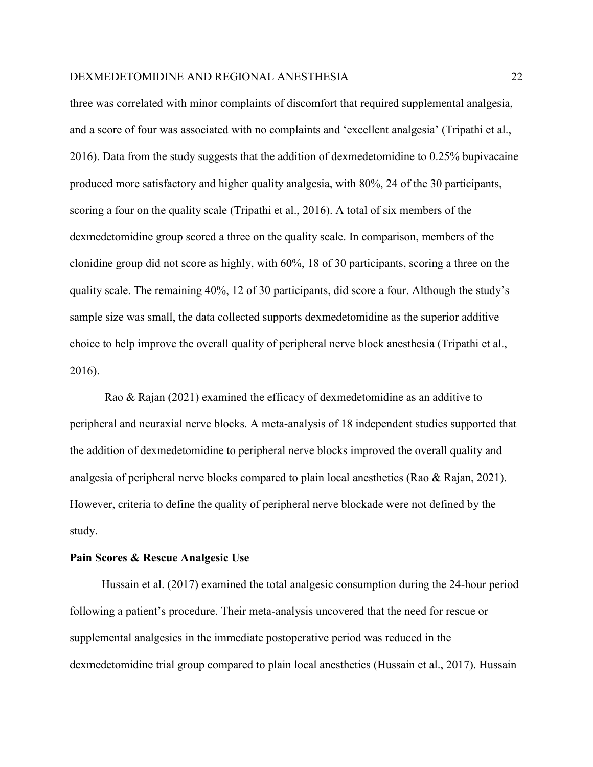three was correlated with minor complaints of discomfort that required supplemental analgesia, and a score of four was associated with no complaints and 'excellent analgesia' (Tripathi et al., 2016). Data from the study suggests that the addition of dexmedetomidine to 0.25% bupivacaine produced more satisfactory and higher quality analgesia, with 80%, 24 of the 30 participants, scoring a four on the quality scale (Tripathi et al., 2016). A total of six members of the dexmedetomidine group scored a three on the quality scale. In comparison, members of the clonidine group did not score as highly, with 60%, 18 of 30 participants, scoring a three on the quality scale. The remaining 40%, 12 of 30 participants, did score a four. Although the study's sample size was small, the data collected supports dexmedetomidine as the superior additive choice to help improve the overall quality of peripheral nerve block anesthesia (Tripathi et al., 2016).

Rao & Rajan (2021) examined the efficacy of dexmedetomidine as an additive to peripheral and neuraxial nerve blocks. A meta-analysis of 18 independent studies supported that the addition of dexmedetomidine to peripheral nerve blocks improved the overall quality and analgesia of peripheral nerve blocks compared to plain local anesthetics (Rao & Rajan, 2021). However, criteria to define the quality of peripheral nerve blockade were not defined by the study.

#### **Pain Scores & Rescue Analgesic Use**

 Hussain et al. (2017) examined the total analgesic consumption during the 24-hour period following a patient's procedure. Their meta-analysis uncovered that the need for rescue or supplemental analgesics in the immediate postoperative period was reduced in the dexmedetomidine trial group compared to plain local anesthetics (Hussain et al., 2017). Hussain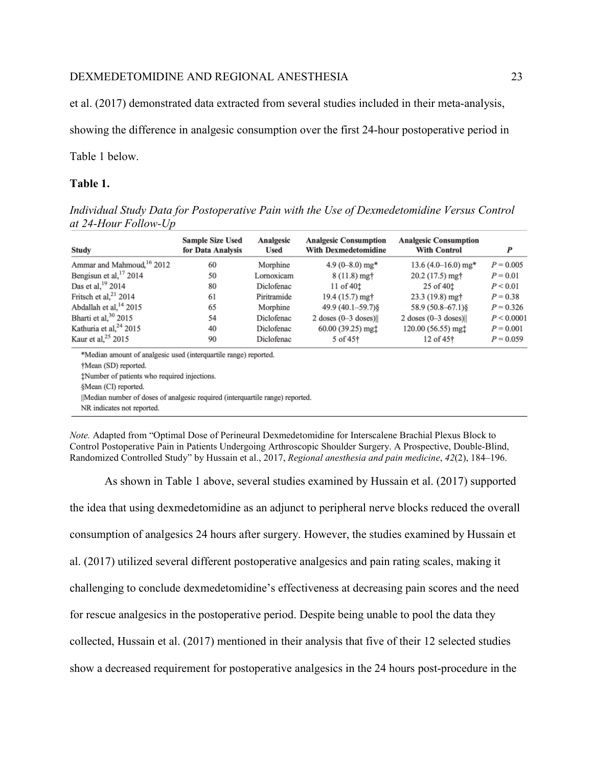et al. (2017) demonstrated data extracted from several studies included in their meta-analysis,

showing the difference in analgesic consumption over the first 24-hour postoperative period in

Table 1 below.

# **Table 1.**

*Individual Study Data for Postoperative Pain with the Use of Dexmedetomidine Versus Control at 24-Hour Follow-Up*

| Study                                                                          | <b>Sample Size Used</b><br>for Data Analysis | Analgesic<br><b>Used</b> | <b>Analgesic Consumption</b><br><b>With Dexmedetomidine</b> | <b>Analgesic Consumption</b><br><b>With Control</b> | $\boldsymbol{P}$ |
|--------------------------------------------------------------------------------|----------------------------------------------|--------------------------|-------------------------------------------------------------|-----------------------------------------------------|------------------|
| Ammar and Mahmoud, <sup>16</sup> 2012                                          | 60                                           | Morphine                 | 4.9 $(0-8.0)$ mg*                                           | 13.6 $(4.0-16.0)$ mg*                               | $P = 0.005$      |
| Bengisun et al, $17$ 2014                                                      | 50                                           | Lornoxicam               | $8(11.8)$ mg <sup>+</sup>                                   | 20.2 (17.5) mg <sup>+</sup>                         | $P = 0.01$       |
| Das et al, <sup>19</sup> 2014                                                  | 80                                           | Diclofenac               | $11$ of $40†$                                               | 25 of 40 <sup>t</sup>                               | P < 0.01         |
| Fritsch et al, <sup>21</sup> 2014                                              | 61                                           | Piritramide              | 19.4 (15.7) mg†                                             | 23.3 (19.8) mg†                                     | $P = 0.38$       |
| Abdallah et al. <sup>14</sup> 2015                                             | 65                                           | Morphine                 | $49.9(40.1 - 59.7)$ §                                       | 58.9 (50.8–67.1) §                                  | $P = 0.326$      |
| Bharti et al, <sup>30</sup> 2015                                               | 54                                           | Diclofenac               | 2 doses $(0-3$ doses)                                       | $2$ doses $(0-3$ doses)                             | P < 0.0001       |
| Kathuria et al. $^{24}$ 2015                                                   | 40                                           | Diclofenac               | $60.00(39.25)$ mgt                                          | 120.00 (56.55) mgt                                  | $P = 0.001$      |
| Kaur et al, $25$ 2015                                                          | 90                                           | Diclofenac               | 5 of 45 <sup>†</sup>                                        | 12 of 45 <sup>+</sup>                               | $P = 0.059$      |
| *Median amount of analgesic used (interquartile range) reported.               |                                              |                          |                                                             |                                                     |                  |
| †Mean (SD) reported.                                                           |                                              |                          |                                                             |                                                     |                  |
| tNumber of patients who required injections.                                   |                                              |                          |                                                             |                                                     |                  |
| §Mean (CI) reported.                                                           |                                              |                          |                                                             |                                                     |                  |
| llMedian number of doses of analgesic required (interquartile range) reported. |                                              |                          |                                                             |                                                     |                  |

NR indicates not reported.

*Note.* Adapted from "Optimal Dose of Perineural Dexmedetomidine for Interscalene Brachial Plexus Block to Control Postoperative Pain in Patients Undergoing Arthroscopic Shoulder Surgery. A Prospective, Double-Blind, Randomized Controlled Study" by Hussain et al., 2017, *Regional anesthesia and pain medicine*, *42*(2), 184–196.

As shown in Table 1 above, several studies examined by Hussain et al. (2017) supported the idea that using dexmedetomidine as an adjunct to peripheral nerve blocks reduced the overall consumption of analgesics 24 hours after surgery. However, the studies examined by Hussain et al. (2017) utilized several different postoperative analgesics and pain rating scales, making it challenging to conclude dexmedetomidine's effectiveness at decreasing pain scores and the need for rescue analgesics in the postoperative period. Despite being unable to pool the data they collected, Hussain et al. (2017) mentioned in their analysis that five of their 12 selected studies show a decreased requirement for postoperative analgesics in the 24 hours post-procedure in the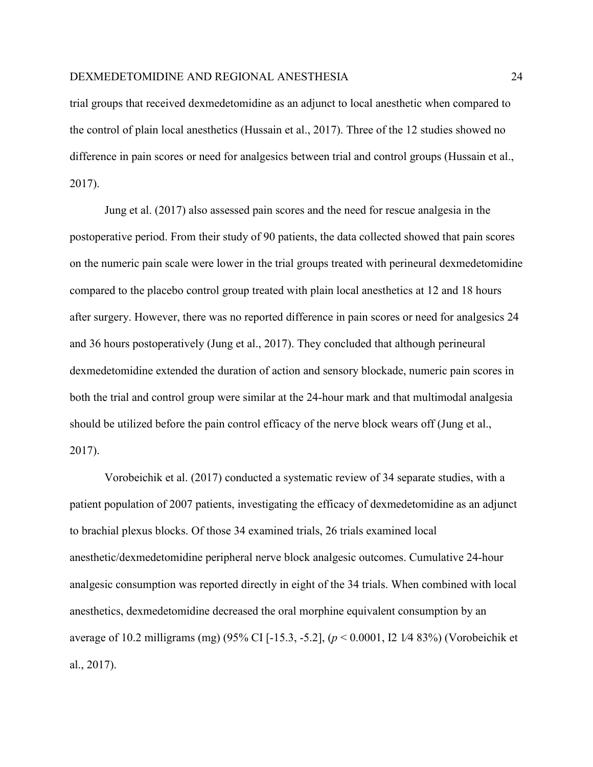trial groups that received dexmedetomidine as an adjunct to local anesthetic when compared to the control of plain local anesthetics (Hussain et al., 2017). Three of the 12 studies showed no difference in pain scores or need for analgesics between trial and control groups (Hussain et al., 2017).

Jung et al. (2017) also assessed pain scores and the need for rescue analgesia in the postoperative period. From their study of 90 patients, the data collected showed that pain scores on the numeric pain scale were lower in the trial groups treated with perineural dexmedetomidine compared to the placebo control group treated with plain local anesthetics at 12 and 18 hours after surgery. However, there was no reported difference in pain scores or need for analgesics 24 and 36 hours postoperatively (Jung et al., 2017). They concluded that although perineural dexmedetomidine extended the duration of action and sensory blockade, numeric pain scores in both the trial and control group were similar at the 24-hour mark and that multimodal analgesia should be utilized before the pain control efficacy of the nerve block wears off (Jung et al., 2017).

Vorobeichik et al. (2017) conducted a systematic review of 34 separate studies, with a patient population of 2007 patients, investigating the efficacy of dexmedetomidine as an adjunct to brachial plexus blocks. Of those 34 examined trials, 26 trials examined local anesthetic/dexmedetomidine peripheral nerve block analgesic outcomes. Cumulative 24-hour analgesic consumption was reported directly in eight of the 34 trials. When combined with local anesthetics, dexmedetomidine decreased the oral morphine equivalent consumption by an average of 10.2 milligrams (mg) (95% CI [-15.3, -5.2], (*p* < 0.0001, I2 1⁄4 83%) (Vorobeichik et al., 2017).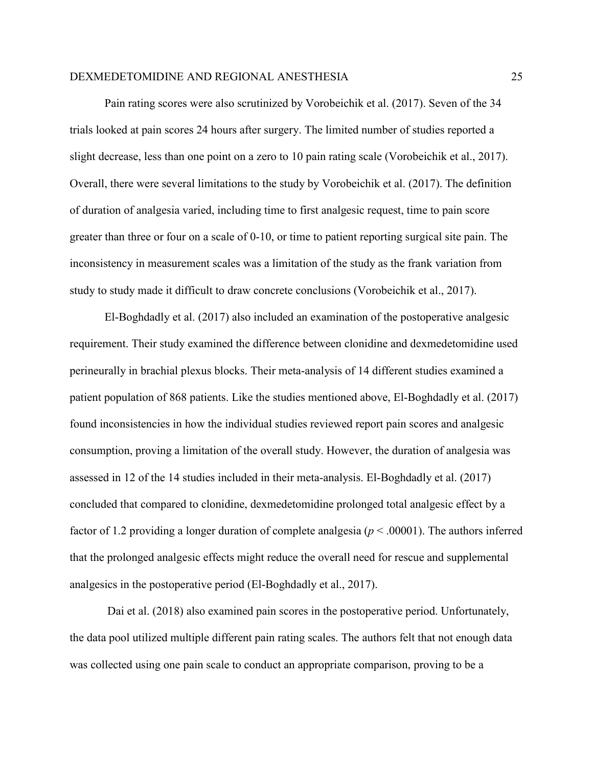Pain rating scores were also scrutinized by Vorobeichik et al. (2017). Seven of the 34 trials looked at pain scores 24 hours after surgery. The limited number of studies reported a slight decrease, less than one point on a zero to 10 pain rating scale (Vorobeichik et al., 2017). Overall, there were several limitations to the study by Vorobeichik et al. (2017). The definition of duration of analgesia varied, including time to first analgesic request, time to pain score greater than three or four on a scale of 0-10, or time to patient reporting surgical site pain. The inconsistency in measurement scales was a limitation of the study as the frank variation from study to study made it difficult to draw concrete conclusions (Vorobeichik et al., 2017).

El-Boghdadly et al. (2017) also included an examination of the postoperative analgesic requirement. Their study examined the difference between clonidine and dexmedetomidine used perineurally in brachial plexus blocks. Their meta-analysis of 14 different studies examined a patient population of 868 patients. Like the studies mentioned above, El-Boghdadly et al. (2017) found inconsistencies in how the individual studies reviewed report pain scores and analgesic consumption, proving a limitation of the overall study. However, the duration of analgesia was assessed in 12 of the 14 studies included in their meta-analysis. El-Boghdadly et al. (2017) concluded that compared to clonidine, dexmedetomidine prolonged total analgesic effect by a factor of 1.2 providing a longer duration of complete analgesia (*p* < .00001). The authors inferred that the prolonged analgesic effects might reduce the overall need for rescue and supplemental analgesics in the postoperative period (El-Boghdadly et al., 2017).

Dai et al. (2018) also examined pain scores in the postoperative period. Unfortunately, the data pool utilized multiple different pain rating scales. The authors felt that not enough data was collected using one pain scale to conduct an appropriate comparison, proving to be a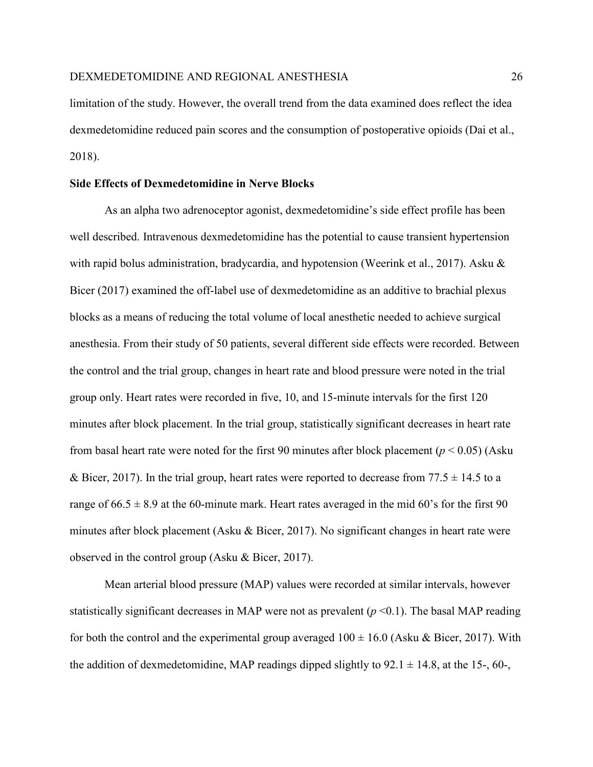limitation of the study. However, the overall trend from the data examined does reflect the idea dexmedetomidine reduced pain scores and the consumption of postoperative opioids (Dai et al., 2018).

# **Side Effects of Dexmedetomidine in Nerve Blocks**

As an alpha two adrenoceptor agonist, dexmedetomidine's side effect profile has been well described. Intravenous dexmedetomidine has the potential to cause transient hypertension with rapid bolus administration, bradycardia, and hypotension (Weerink et al., 2017). Asku & Bicer (2017) examined the off-label use of dexmedetomidine as an additive to brachial plexus blocks as a means of reducing the total volume of local anesthetic needed to achieve surgical anesthesia. From their study of 50 patients, several different side effects were recorded. Between the control and the trial group, changes in heart rate and blood pressure were noted in the trial group only. Heart rates were recorded in five, 10, and 15-minute intervals for the first 120 minutes after block placement. In the trial group, statistically significant decreases in heart rate from basal heart rate were noted for the first 90 minutes after block placement ( $p < 0.05$ ) (Asku & Bicer, 2017). In the trial group, heart rates were reported to decrease from  $77.5 \pm 14.5$  to a range of  $66.5 \pm 8.9$  at the 60-minute mark. Heart rates averaged in the mid 60's for the first 90 minutes after block placement (Asku & Bicer, 2017). No significant changes in heart rate were observed in the control group (Asku & Bicer, 2017).

Mean arterial blood pressure (MAP) values were recorded at similar intervals, however statistically significant decreases in MAP were not as prevalent  $(p \le 0.1)$ . The basal MAP reading for both the control and the experimental group averaged  $100 \pm 16.0$  (Asku & Bicer, 2017). With the addition of dexmedetomidine, MAP readings dipped slightly to  $92.1 \pm 14.8$ , at the 15-, 60-,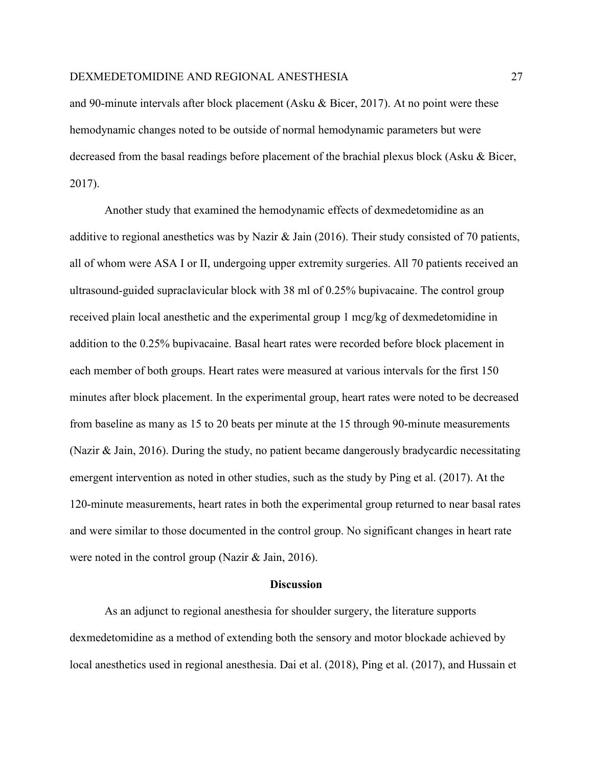and 90-minute intervals after block placement (Asku & Bicer, 2017). At no point were these hemodynamic changes noted to be outside of normal hemodynamic parameters but were decreased from the basal readings before placement of the brachial plexus block (Asku & Bicer, 2017).

Another study that examined the hemodynamic effects of dexmedetomidine as an additive to regional anesthetics was by Nazir & Jain (2016). Their study consisted of 70 patients, all of whom were ASA I or II, undergoing upper extremity surgeries. All 70 patients received an ultrasound-guided supraclavicular block with 38 ml of 0.25% bupivacaine. The control group received plain local anesthetic and the experimental group 1 mcg/kg of dexmedetomidine in addition to the 0.25% bupivacaine. Basal heart rates were recorded before block placement in each member of both groups. Heart rates were measured at various intervals for the first 150 minutes after block placement. In the experimental group, heart rates were noted to be decreased from baseline as many as 15 to 20 beats per minute at the 15 through 90-minute measurements (Nazir & Jain, 2016). During the study, no patient became dangerously bradycardic necessitating emergent intervention as noted in other studies, such as the study by Ping et al. (2017). At the 120-minute measurements, heart rates in both the experimental group returned to near basal rates and were similar to those documented in the control group. No significant changes in heart rate were noted in the control group (Nazir & Jain, 2016).

## **Discussion**

As an adjunct to regional anesthesia for shoulder surgery, the literature supports dexmedetomidine as a method of extending both the sensory and motor blockade achieved by local anesthetics used in regional anesthesia. Dai et al. (2018), Ping et al. (2017), and Hussain et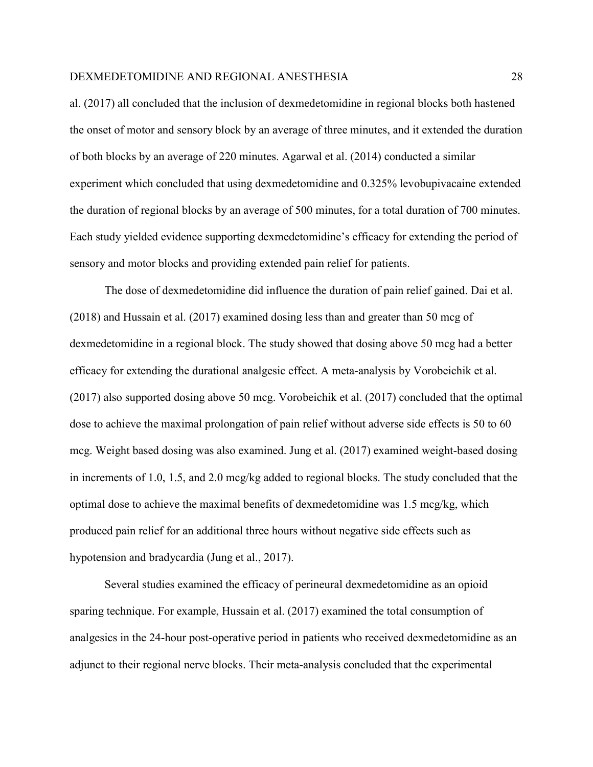al. (2017) all concluded that the inclusion of dexmedetomidine in regional blocks both hastened the onset of motor and sensory block by an average of three minutes, and it extended the duration of both blocks by an average of 220 minutes. Agarwal et al. (2014) conducted a similar experiment which concluded that using dexmedetomidine and 0.325% levobupivacaine extended the duration of regional blocks by an average of 500 minutes, for a total duration of 700 minutes. Each study yielded evidence supporting dexmedetomidine's efficacy for extending the period of sensory and motor blocks and providing extended pain relief for patients.

The dose of dexmedetomidine did influence the duration of pain relief gained. Dai et al. (2018) and Hussain et al. (2017) examined dosing less than and greater than 50 mcg of dexmedetomidine in a regional block. The study showed that dosing above 50 mcg had a better efficacy for extending the durational analgesic effect. A meta-analysis by Vorobeichik et al. (2017) also supported dosing above 50 mcg. Vorobeichik et al. (2017) concluded that the optimal dose to achieve the maximal prolongation of pain relief without adverse side effects is 50 to 60 mcg. Weight based dosing was also examined. Jung et al. (2017) examined weight-based dosing in increments of 1.0, 1.5, and 2.0 mcg/kg added to regional blocks. The study concluded that the optimal dose to achieve the maximal benefits of dexmedetomidine was 1.5 mcg/kg, which produced pain relief for an additional three hours without negative side effects such as hypotension and bradycardia (Jung et al., 2017).

Several studies examined the efficacy of perineural dexmedetomidine as an opioid sparing technique. For example, Hussain et al. (2017) examined the total consumption of analgesics in the 24-hour post-operative period in patients who received dexmedetomidine as an adjunct to their regional nerve blocks. Their meta-analysis concluded that the experimental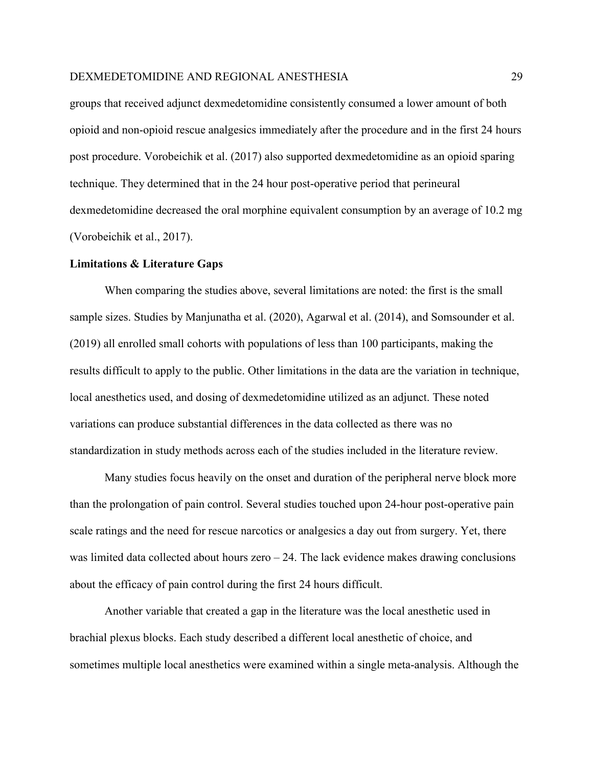groups that received adjunct dexmedetomidine consistently consumed a lower amount of both opioid and non-opioid rescue analgesics immediately after the procedure and in the first 24 hours post procedure. Vorobeichik et al. (2017) also supported dexmedetomidine as an opioid sparing technique. They determined that in the 24 hour post-operative period that perineural dexmedetomidine decreased the oral morphine equivalent consumption by an average of 10.2 mg (Vorobeichik et al., 2017).

#### **Limitations & Literature Gaps**

When comparing the studies above, several limitations are noted: the first is the small sample sizes. Studies by Manjunatha et al. (2020), Agarwal et al. (2014), and Somsounder et al. (2019) all enrolled small cohorts with populations of less than 100 participants, making the results difficult to apply to the public. Other limitations in the data are the variation in technique, local anesthetics used, and dosing of dexmedetomidine utilized as an adjunct. These noted variations can produce substantial differences in the data collected as there was no standardization in study methods across each of the studies included in the literature review.

Many studies focus heavily on the onset and duration of the peripheral nerve block more than the prolongation of pain control. Several studies touched upon 24-hour post-operative pain scale ratings and the need for rescue narcotics or analgesics a day out from surgery. Yet, there was limited data collected about hours zero – 24. The lack evidence makes drawing conclusions about the efficacy of pain control during the first 24 hours difficult.

Another variable that created a gap in the literature was the local anesthetic used in brachial plexus blocks. Each study described a different local anesthetic of choice, and sometimes multiple local anesthetics were examined within a single meta-analysis. Although the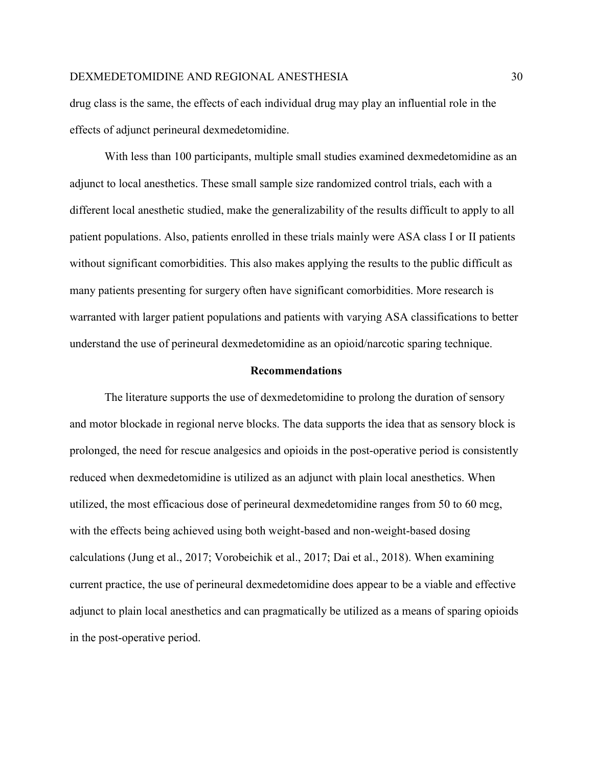drug class is the same, the effects of each individual drug may play an influential role in the effects of adjunct perineural dexmedetomidine.

With less than 100 participants, multiple small studies examined dexmedetomidine as an adjunct to local anesthetics. These small sample size randomized control trials, each with a different local anesthetic studied, make the generalizability of the results difficult to apply to all patient populations. Also, patients enrolled in these trials mainly were ASA class I or II patients without significant comorbidities. This also makes applying the results to the public difficult as many patients presenting for surgery often have significant comorbidities. More research is warranted with larger patient populations and patients with varying ASA classifications to better understand the use of perineural dexmedetomidine as an opioid/narcotic sparing technique.

#### **Recommendations**

The literature supports the use of dexmedetomidine to prolong the duration of sensory and motor blockade in regional nerve blocks. The data supports the idea that as sensory block is prolonged, the need for rescue analgesics and opioids in the post-operative period is consistently reduced when dexmedetomidine is utilized as an adjunct with plain local anesthetics. When utilized, the most efficacious dose of perineural dexmedetomidine ranges from 50 to 60 mcg, with the effects being achieved using both weight-based and non-weight-based dosing calculations (Jung et al., 2017; Vorobeichik et al., 2017; Dai et al., 2018). When examining current practice, the use of perineural dexmedetomidine does appear to be a viable and effective adjunct to plain local anesthetics and can pragmatically be utilized as a means of sparing opioids in the post-operative period.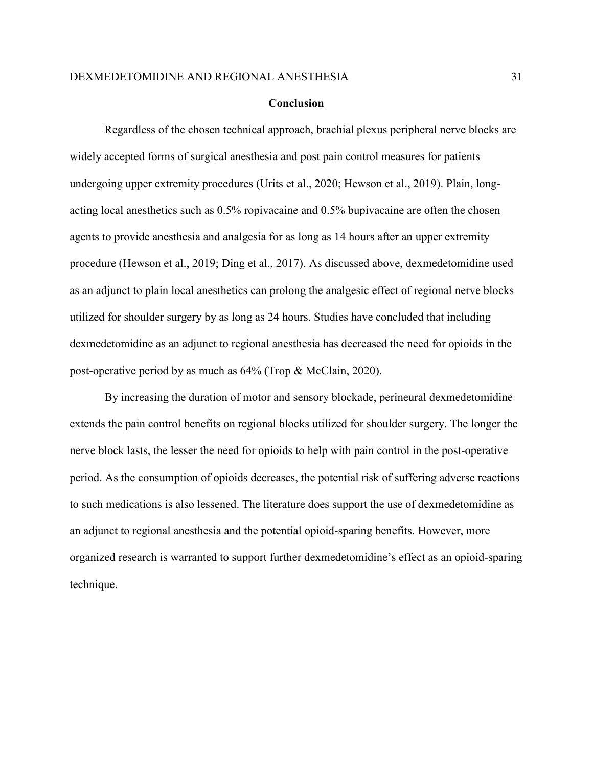#### **Conclusion**

Regardless of the chosen technical approach, brachial plexus peripheral nerve blocks are widely accepted forms of surgical anesthesia and post pain control measures for patients undergoing upper extremity procedures (Urits et al., 2020; Hewson et al., 2019). Plain, longacting local anesthetics such as 0.5% ropivacaine and 0.5% bupivacaine are often the chosen agents to provide anesthesia and analgesia for as long as 14 hours after an upper extremity procedure (Hewson et al., 2019; Ding et al., 2017). As discussed above, dexmedetomidine used as an adjunct to plain local anesthetics can prolong the analgesic effect of regional nerve blocks utilized for shoulder surgery by as long as 24 hours. Studies have concluded that including dexmedetomidine as an adjunct to regional anesthesia has decreased the need for opioids in the post-operative period by as much as 64% (Trop & McClain, 2020).

By increasing the duration of motor and sensory blockade, perineural dexmedetomidine extends the pain control benefits on regional blocks utilized for shoulder surgery. The longer the nerve block lasts, the lesser the need for opioids to help with pain control in the post-operative period. As the consumption of opioids decreases, the potential risk of suffering adverse reactions to such medications is also lessened. The literature does support the use of dexmedetomidine as an adjunct to regional anesthesia and the potential opioid-sparing benefits. However, more organized research is warranted to support further dexmedetomidine's effect as an opioid-sparing technique.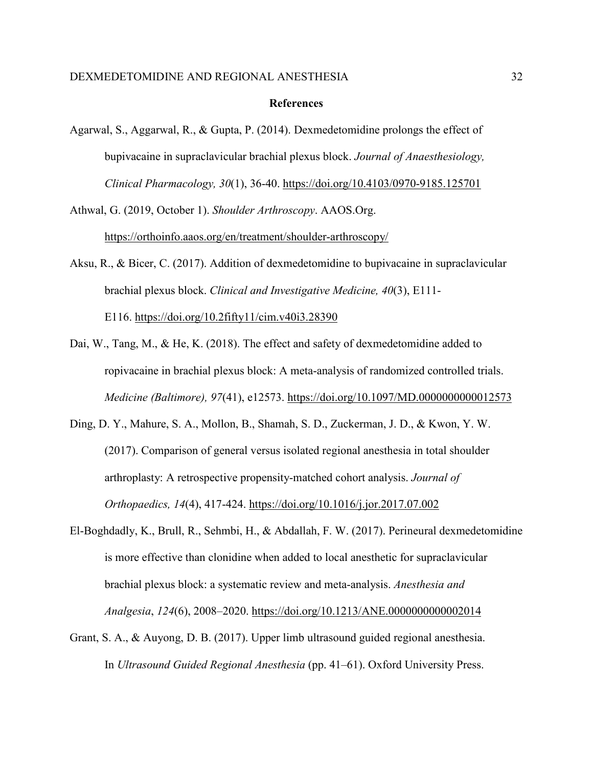#### **References**

Agarwal, S., Aggarwal, R., & Gupta, P. (2014). Dexmedetomidine prolongs the effect of bupivacaine in supraclavicular brachial plexus block. *Journal of Anaesthesiology, Clinical Pharmacology, 30*(1), 36-40.<https://doi.org/10.4103/0970-9185.125701>

Athwal, G. (2019, October 1). *Shoulder Arthroscopy*. AAOS.Org. https://orthoinfo.aaos.org/en/treatment/shoulder-arthroscopy/

Aksu, R., & Bicer, C. (2017). Addition of dexmedetomidine to bupivacaine in supraclavicular brachial plexus block. *Clinical and Investigative Medicine, 40*(3), E111- E116. [https://doi.org/10.2fifty11/cim.v40i3.28390](https://doi.org/10.25011/cim.v40i3.28390)

- Dai, W., Tang, M., & He, K. (2018). The effect and safety of dexmedetomidine added to ropivacaine in brachial plexus block: A meta-analysis of randomized controlled trials. *Medicine (Baltimore), 97*(41), e12573.<https://doi.org/10.1097/MD.0000000000012573>
- Ding, D. Y., Mahure, S. A., Mollon, B., Shamah, S. D., Zuckerman, J. D., & Kwon, Y. W. (2017). Comparison of general versus isolated regional anesthesia in total shoulder arthroplasty: A retrospective propensity-matched cohort analysis. *Journal of Orthopaedics, 14*(4), 417-424.<https://doi.org/10.1016/j.jor.2017.07.002>
- El-Boghdadly, K., Brull, R., Sehmbi, H., & Abdallah, F. W. (2017). Perineural dexmedetomidine is more effective than clonidine when added to local anesthetic for supraclavicular brachial plexus block: a systematic review and meta-analysis. *Anesthesia and Analgesia*, *124*(6), 2008–2020.<https://doi.org/10.1213/ANE.0000000000002014>
- Grant, S. A., & Auyong, D. B. (2017). Upper limb ultrasound guided regional anesthesia. In *Ultrasound Guided Regional Anesthesia* (pp. 41–61). Oxford University Press.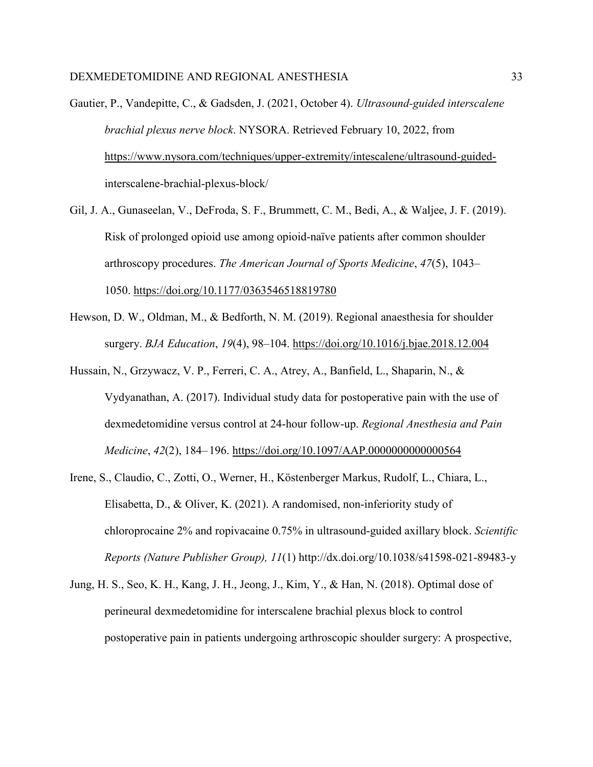Gautier, P., Vandepitte, C., & Gadsden, J. (2021, October 4). *Ultrasound-guided interscalene brachial plexus nerve block*. NYSORA. Retrieved February 10, 2022, from [https://www.nysora.com/techniques/upper-extremity/intescalene/ultrasound-guided](https://www.nysora.com/techniques/upper-extremity/intescalene/ultrasound-guided-)interscalene-brachial-plexus-block/

- Gil, J. A., Gunaseelan, V., DeFroda, S. F., Brummett, C. M., Bedi, A., & Waljee, J. F. (2019). Risk of prolonged opioid use among opioid-naïve patients after common shoulder arthroscopy procedures. *The American Journal of Sports Medicine*, *47*(5), 1043– 1050.<https://doi.org/10.1177/0363546518819780>
- Hewson, D. W., Oldman, M., & Bedforth, N. M. (2019). Regional anaesthesia for shoulder surgery. *BJA Education*, *19*(4), 98–104.<https://doi.org/10.1016/j.bjae.2018.12.004>
- Hussain, N., Grzywacz, V. P., Ferreri, C. A., Atrey, A., Banfield, L., Shaparin, N., & Vydyanathan, A. (2017). Individual study data for postoperative pain with the use of dexmedetomidine versus control at 24-hour follow-up. *Regional Anesthesia and Pain Medicine*, *42*(2), 184– 196.<https://doi.org/10.1097/AAP.0000000000000564>
- Irene, S., Claudio, C., Zotti, O., Werner, H., Köstenberger Markus, Rudolf, L., Chiara, L., Elisabetta, D., & Oliver, K. (2021). A randomised, non-inferiority study of chloroprocaine 2% and ropivacaine 0.75% in ultrasound-guided axillary block. *Scientific Reports (Nature Publisher Group), 11*(1) http://dx.doi.org/10.1038/s41598-021-89483-y
- Jung, H. S., Seo, K. H., Kang, J. H., Jeong, J., Kim, Y., & Han, N. (2018). Optimal dose of perineural dexmedetomidine for interscalene brachial plexus block to control postoperative pain in patients undergoing arthroscopic shoulder surgery: A prospective,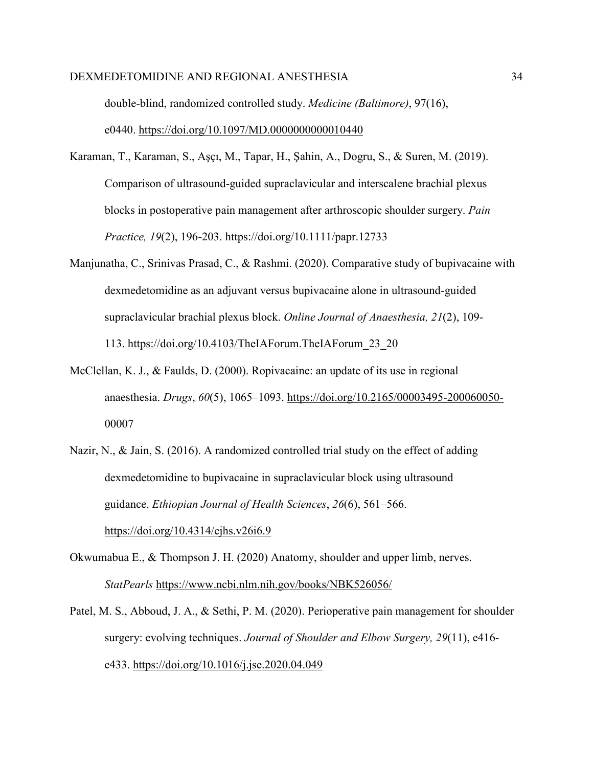double-blind, randomized controlled study. *Medicine (Baltimore)*, 97(16), e0440.<https://doi.org/10.1097/MD.0000000000010440>

- Karaman, T., Karaman, S., Aşçı, M., Tapar, H., Şahin, A., Dogru, S., & Suren, M. (2019). Comparison of ultrasound‐guided supraclavicular and interscalene brachial plexus blocks in postoperative pain management after arthroscopic shoulder surgery. *Pain Practice, 19*(2), 196-203.<https://doi.org/10.1111/papr.12733>
- Manjunatha, C., Srinivas Prasad, C., & Rashmi. (2020). Comparative study of bupivacaine with dexmedetomidine as an adjuvant versus bupivacaine alone in ultrasound-guided supraclavicular brachial plexus block. *Online Journal of Anaesthesia, 21*(2), 109- 113. [https://doi.org/10.4103/TheIAForum.TheIAForum\\_23\\_20](https://doi.org/10.4103/TheIAForum.TheIAForum_23_20)
- McClellan, K. J., & Faulds, D. (2000). Ropivacaine: an update of its use in regional anaesthesia. *Drugs*, *60*(5), 1065–1093.<https://doi.org/10.2165/00003495-200060050-> 00007
- Nazir, N., & Jain, S. (2016). A randomized controlled trial study on the effect of adding dexmedetomidine to bupivacaine in supraclavicular block using ultrasound guidance. *Ethiopian Journal of Health Sciences*, *26*(6), 561–566. <https://doi.org/10.4314/ejhs.v26i6.9>
- Okwumabua E., & Thompson J. H. (2020) Anatomy, shoulder and upper limb, nerves. *StatPearls* <https://www.ncbi.nlm.nih.gov/books/NBK526056/>
- Patel, M. S., Abboud, J. A., & Sethi, P. M. (2020). Perioperative pain management for shoulder surgery: evolving techniques. *Journal of Shoulder and Elbow Surgery, 29*(11), e416 e433.<https://doi.org/10.1016/j.jse.2020.04.049>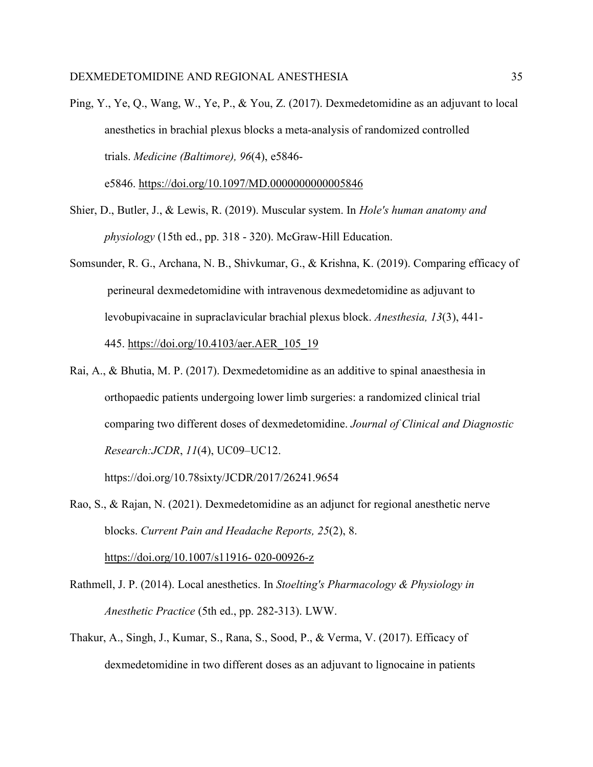- Ping, Y., Ye, Q., Wang, W., Ye, P., & You, Z. (2017). Dexmedetomidine as an adjuvant to local anesthetics in brachial plexus blocks a meta-analysis of randomized controlled trials. *Medicine (Baltimore), 96*(4), e5846 e5846.<https://doi.org/10.1097/MD.0000000000005846>
- Shier, D., Butler, J., & Lewis, R. (2019). Muscular system. In *Hole's human anatomy and physiology* (15th ed., pp. 318 - 320). McGraw-Hill Education.
- Somsunder, R. G., Archana, N. B., Shivkumar, G., & Krishna, K. (2019). Comparing efficacy of perineural dexmedetomidine with intravenous dexmedetomidine as adjuvant to levobupivacaine in supraclavicular brachial plexus block. *Anesthesia, 13*(3), 441- 445. [https://doi.org/10.4103/aer.AER\\_105\\_19](https://doi.org/10.4103/aer.AER_105_19)
- Rai, A., & Bhutia, M. P. (2017). Dexmedetomidine as an additive to spinal anaesthesia in orthopaedic patients undergoing lower limb surgeries: a randomized clinical trial comparing two different doses of dexmedetomidine. *Journal of Clinical and Diagnostic Research:JCDR*, *11*(4), UC09–UC12.

https://doi.org/10.78sixty/JCDR/2017/26241.9654

Rao, S., & Rajan, N. (2021). Dexmedetomidine as an adjunct for regional anesthetic nerve blocks. *Current Pain and Headache Reports, 25*(2), 8.

[https://doi.org/10.1007/s11916- 020-00926-z](https://doi.org/10.1007/s11916-%20020-00926-z)

- Rathmell, J. P. (2014). Local anesthetics. In *Stoelting's Pharmacology & Physiology in Anesthetic Practice* (5th ed., pp. 282-313). LWW.
- Thakur, A., Singh, J., Kumar, S., Rana, S., Sood, P., & Verma, V. (2017). Efficacy of dexmedetomidine in two different doses as an adjuvant to lignocaine in patients